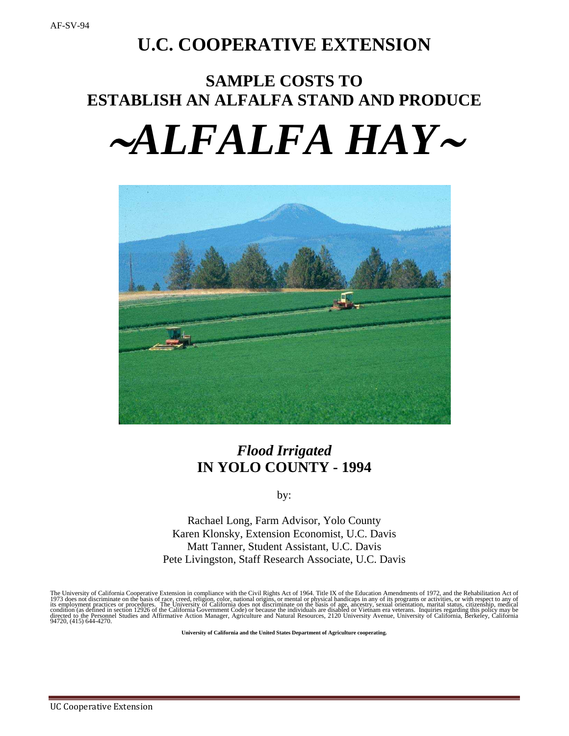## **U.C. COOPERATIVE EXTENSION**

# **SAMPLE COSTS TO ESTABLISH AN ALFALFA STAND AND PRODUCE** <sup>∼</sup>*ALFALFA HAY*<sup>∼</sup>



## *Flood Irrigated* **IN YOLO COUNTY - 1994**

by:

Rachael Long, Farm Advisor, Yolo County Karen Klonsky, Extension Economist, U.C. Davis Matt Tanner, Student Assistant, U.C. Davis Pete Livingston, Staff Research Associate, U.C. Davis

The University of California Cooperative Extension in compliance with the Civil Rights Act of 1964. Title IX of the Education Amendments of 1972, and the Rehabilitation Act of<br>1973 does not discriminate on the basis of rac

**University of California and the United States Department of Agriculture cooperating.**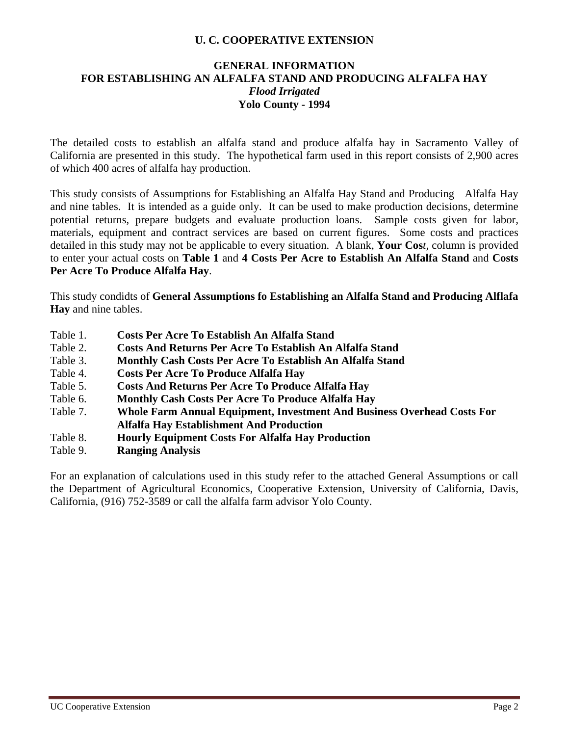## **U. C. COOPERATIVE EXTENSION**

#### **GENERAL INFORMATION FOR ESTABLISHING AN ALFALFA STAND AND PRODUCING ALFALFA HAY** *Flood Irrigated* **Yolo County - 1994**

The detailed costs to establish an alfalfa stand and produce alfalfa hay in Sacramento Valley of California are presented in this study. The hypothetical farm used in this report consists of 2,900 acres of which 400 acres of alfalfa hay production.

This study consists of Assumptions for Establishing an Alfalfa Hay Stand and Producing Alfalfa Hay and nine tables. It is intended as a guide only. It can be used to make production decisions, determine potential returns, prepare budgets and evaluate production loans. Sample costs given for labor, materials, equipment and contract services are based on current figures. Some costs and practices detailed in this study may not be applicable to every situation. A blank, **Your Cos***t,* column is provided to enter your actual costs on **Table 1** and **4 Costs Per Acre to Establish An Alfalfa Stand** and **Costs Per Acre To Produce Alfalfa Hay**.

This study condidts of **General Assumptions fo Establishing an Alfalfa Stand and Producing Alflafa Hay** and nine tables.

- Table 1. **Costs Per Acre To Establish An Alfalfa Stand**
- Table 2. **Costs And Returns Per Acre To Establish An Alfalfa Stand**
- Table 3. **Monthly Cash Costs Per Acre To Establish An Alfalfa Stand**
- Table 4. **Costs Per Acre To Produce Alfalfa Hay**
- Table 5. **Costs And Returns Per Acre To Produce Alfalfa Hay**
- Table 6. **Monthly Cash Costs Per Acre To Produce Alfalfa Hay**
- Table 7. **Whole Farm Annual Equipment, Investment And Business Overhead Costs For Alfalfa Hay Establishment And Production**
- Table 8. **Hourly Equipment Costs For Alfalfa Hay Production**
- Table 9. **Ranging Analysis**

For an explanation of calculations used in this study refer to the attached General Assumptions or call the Department of Agricultural Economics, Cooperative Extension, University of California, Davis, California, (916) 752-3589 or call the alfalfa farm advisor Yolo County.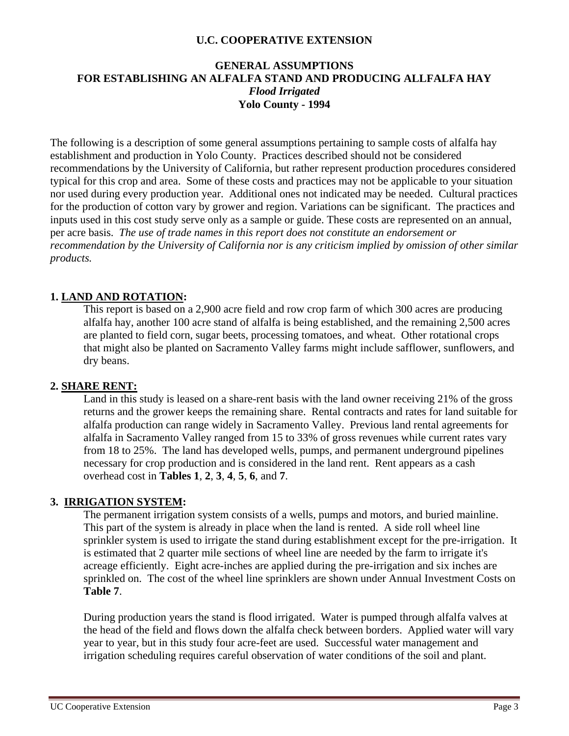### **U.C. COOPERATIVE EXTENSION**

## **GENERAL ASSUMPTIONS FOR ESTABLISHING AN ALFALFA STAND AND PRODUCING ALLFALFA HAY** *Flood Irrigated* **Yolo County - 1994**

The following is a description of some general assumptions pertaining to sample costs of alfalfa hay establishment and production in Yolo County. Practices described should not be considered recommendations by the University of California, but rather represent production procedures considered typical for this crop and area. Some of these costs and practices may not be applicable to your situation nor used during every production year. Additional ones not indicated may be needed.Cultural practices for the production of cotton vary by grower and region. Variations can be significant. The practices and inputs used in this cost study serve only as a sample or guide. These costs are represented on an annual, per acre basis. *The use of trade names in this report does not constitute an endorsement or recommendation by the University of California nor is any criticism implied by omission of other similar products.*

## **1. LAND AND ROTATION:**

This report is based on a 2,900 acre field and row crop farm of which 300 acres are producing alfalfa hay, another 100 acre stand of alfalfa is being established, and the remaining 2,500 acres are planted to field corn, sugar beets, processing tomatoes, and wheat. Other rotational crops that might also be planted on Sacramento Valley farms might include safflower, sunflowers, and dry beans.

## **2. SHARE RENT:**

Land in this study is leased on a share-rent basis with the land owner receiving 21% of the gross returns and the grower keeps the remaining share. Rental contracts and rates for land suitable for alfalfa production can range widely in Sacramento Valley. Previous land rental agreements for alfalfa in Sacramento Valley ranged from 15 to 33% of gross revenues while current rates vary from 18 to 25%. The land has developed wells, pumps, and permanent underground pipelines necessary for crop production and is considered in the land rent. Rent appears as a cash overhead cost in **Tables 1**, **2**, **3**, **4**, **5**, **6**, and **7**.

## **3. IRRIGATION SYSTEM:**

The permanent irrigation system consists of a wells, pumps and motors, and buried mainline. This part of the system is already in place when the land is rented. A side roll wheel line sprinkler system is used to irrigate the stand during establishment except for the pre-irrigation. It is estimated that 2 quarter mile sections of wheel line are needed by the farm to irrigate it's acreage efficiently. Eight acre-inches are applied during the pre-irrigation and six inches are sprinkled on. The cost of the wheel line sprinklers are shown under Annual Investment Costs on **Table 7**.

During production years the stand is flood irrigated. Water is pumped through alfalfa valves at the head of the field and flows down the alfalfa check between borders. Applied water will vary year to year, but in this study four acre-feet are used. Successful water management and irrigation scheduling requires careful observation of water conditions of the soil and plant.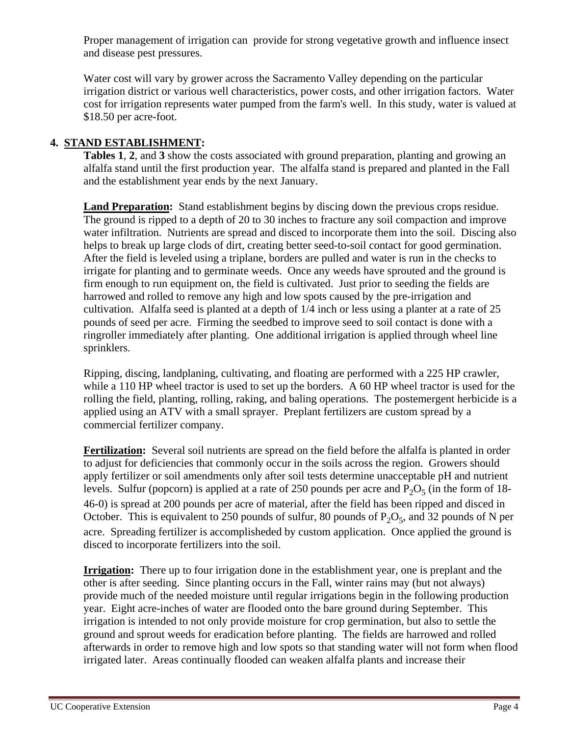Proper management of irrigation can provide for strong vegetative growth and influence insect and disease pest pressures.

Water cost will vary by grower across the Sacramento Valley depending on the particular irrigation district or various well characteristics, power costs, and other irrigation factors. Water cost for irrigation represents water pumped from the farm's well. In this study, water is valued at \$18.50 per acre-foot.

## **4. STAND ESTABLISHMENT:**

**Tables 1**, **2**, and **3** show the costs associated with ground preparation, planting and growing an alfalfa stand until the first production year. The alfalfa stand is prepared and planted in the Fall and the establishment year ends by the next January.

**Land Preparation:** Stand establishment begins by discing down the previous crops residue. The ground is ripped to a depth of 20 to 30 inches to fracture any soil compaction and improve water infiltration. Nutrients are spread and disced to incorporate them into the soil. Discing also helps to break up large clods of dirt, creating better seed-to-soil contact for good germination. After the field is leveled using a triplane, borders are pulled and water is run in the checks to irrigate for planting and to germinate weeds. Once any weeds have sprouted and the ground is firm enough to run equipment on, the field is cultivated. Just prior to seeding the fields are harrowed and rolled to remove any high and low spots caused by the pre-irrigation and cultivation. Alfalfa seed is planted at a depth of 1/4 inch or less using a planter at a rate of 25 pounds of seed per acre. Firming the seedbed to improve seed to soil contact is done with a ringroller immediately after planting. One additional irrigation is applied through wheel line sprinklers.

Ripping, discing, landplaning, cultivating, and floating are performed with a 225 HP crawler, while a 110 HP wheel tractor is used to set up the borders. A 60 HP wheel tractor is used for the rolling the field, planting, rolling, raking, and baling operations. The postemergent herbicide is a applied using an ATV with a small sprayer. Preplant fertilizers are custom spread by a commercial fertilizer company.

**Fertilization:** Several soil nutrients are spread on the field before the alfalfa is planted in order to adjust for deficiencies that commonly occur in the soils across the region. Growers should apply fertilizer or soil amendments only after soil tests determine unacceptable pH and nutrient levels. Sulfur (popcorn) is applied at a rate of 250 pounds per acre and  $P_2O_5$  (in the form of 18-46-0) is spread at 200 pounds per acre of material, after the field has been ripped and disced in October. This is equivalent to 250 pounds of sulfur, 80 pounds of  $P_2O_5$ , and 32 pounds of N per acre. Spreading fertilizer is accomplisheded by custom application. Once applied the ground is disced to incorporate fertilizers into the soil.

**Irrigation:** There up to four irrigation done in the establishment year, one is preplant and the other is after seeding. Since planting occurs in the Fall, winter rains may (but not always) provide much of the needed moisture until regular irrigations begin in the following production year. Eight acre-inches of water are flooded onto the bare ground during September. This irrigation is intended to not only provide moisture for crop germination, but also to settle the ground and sprout weeds for eradication before planting. The fields are harrowed and rolled afterwards in order to remove high and low spots so that standing water will not form when flood irrigated later. Areas continually flooded can weaken alfalfa plants and increase their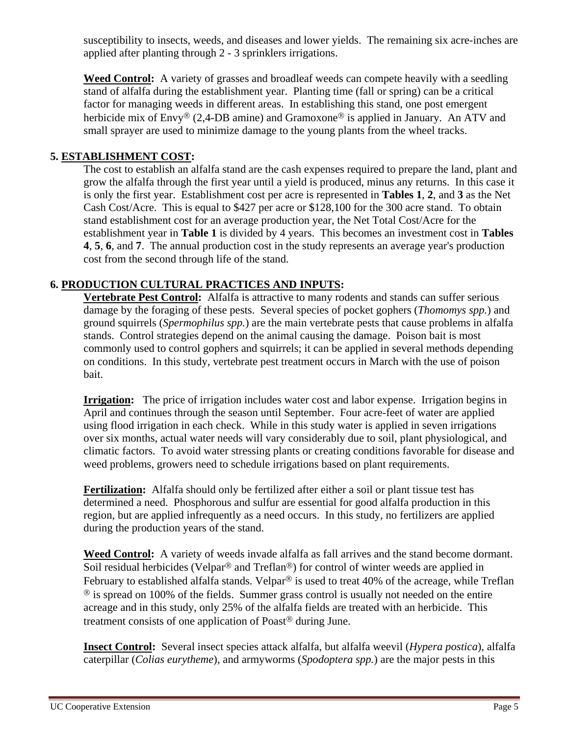susceptibility to insects, weeds, and diseases and lower yields. The remaining six acre-inches are applied after planting through 2 - 3 sprinklers irrigations.

**Weed Control:** A variety of grasses and broadleaf weeds can compete heavily with a seedling stand of alfalfa during the establishment year. Planting time (fall or spring) can be a critical factor for managing weeds in different areas. In establishing this stand, one post emergent herbicide mix of Envy<sup>®</sup> (2,4-DB amine) and Gramoxone<sup>®</sup> is applied in January. An ATV and small sprayer are used to minimize damage to the young plants from the wheel tracks.

## **5. ESTABLISHMENT COST:**

The cost to establish an alfalfa stand are the cash expenses required to prepare the land, plant and grow the alfalfa through the first year until a yield is produced, minus any returns. In this case it is only the first year. Establishment cost per acre is represented in **Tables 1**, **2**, and **3** as the Net Cash Cost/Acre. This is equal to \$427 per acre or \$128,100 for the 300 acre stand. To obtain stand establishment cost for an average production year, the Net Total Cost/Acre for the establishment year in **Table 1** is divided by 4 years. This becomes an investment cost in **Tables 4**, **5**, **6**, and **7**. The annual production cost in the study represents an average year's production cost from the second through life of the stand.

## **6. PRODUCTION CULTURAL PRACTICES AND INPUTS:**

**Vertebrate Pest Control:** Alfalfa is attractive to many rodents and stands can suffer serious damage by the foraging of these pests. Several species of pocket gophers (*Thomomys spp.*) and ground squirrels (*Spermophilus spp.*) are the main vertebrate pests that cause problems in alfalfa stands. Control strategies depend on the animal causing the damage. Poison bait is most commonly used to control gophers and squirrels; it can be applied in several methods depending on conditions. In this study, vertebrate pest treatment occurs in March with the use of poison bait.

**Irrigation:** The price of irrigation includes water cost and labor expense. Irrigation begins in April and continues through the season until September. Four acre-feet of water are applied using flood irrigation in each check. While in this study water is applied in seven irrigations over six months, actual water needs will vary considerably due to soil, plant physiological, and climatic factors. To avoid water stressing plants or creating conditions favorable for disease and weed problems, growers need to schedule irrigations based on plant requirements.

**Fertilization:** Alfalfa should only be fertilized after either a soil or plant tissue test has determined a need. Phosphorous and sulfur are essential for good alfalfa production in this region, but are applied infrequently as a need occurs. In this study, no fertilizers are applied during the production years of the stand.

**Weed Control:** A variety of weeds invade alfalfa as fall arrives and the stand become dormant. Soil residual herbicides (Velpar<sup>®</sup> and Treflan<sup>®</sup>) for control of winter weeds are applied in February to established alfalfa stands. Velpar<sup>®</sup> is used to treat 40% of the acreage, while Treflan  $\textcircled{8}$  is spread on 100% of the fields. Summer grass control is usually not needed on the entire acreage and in this study, only 25% of the alfalfa fields are treated with an herbicide. This treatment consists of one application of Poast<sup> $\circledast$ </sup> during June.

**Insect Control:** Several insect species attack alfalfa, but alfalfa weevil (*Hypera postica*), alfalfa caterpillar (*Colias eurytheme*), and armyworms (*Spodoptera spp.*) are the major pests in this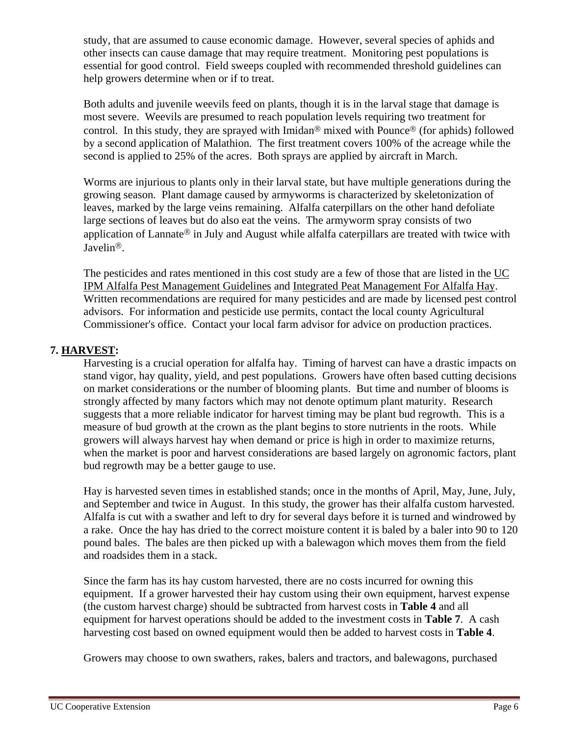study, that are assumed to cause economic damage. However, several species of aphids and other insects can cause damage that may require treatment. Monitoring pest populations is essential for good control. Field sweeps coupled with recommended threshold guidelines can help growers determine when or if to treat.

Both adults and juvenile weevils feed on plants, though it is in the larval stage that damage is most severe. Weevils are presumed to reach population levels requiring two treatment for control. In this study, they are sprayed with Imidan<sup>®</sup> mixed with Pounce<sup>®</sup> (for aphids) followed by a second application of Malathion. The first treatment covers 100% of the acreage while the second is applied to 25% of the acres. Both sprays are applied by aircraft in March.

Worms are injurious to plants only in their larval state, but have multiple generations during the growing season. Plant damage caused by armyworms is characterized by skeletonization of leaves, marked by the large veins remaining. Alfalfa caterpillars on the other hand defoliate large sections of leaves but do also eat the veins. The armyworm spray consists of two application of Lannate<sup>®</sup> in July and August while alfalfa caterpillars are treated with twice with Javelin<sup>®</sup>.

The pesticides and rates mentioned in this cost study are a few of those that are listed in the UC IPM Alfalfa Pest Management Guidelines and Integrated Peat Management For Alfalfa Hay. Written recommendations are required for many pesticides and are made by licensed pest control advisors. For information and pesticide use permits, contact the local county Agricultural Commissioner's office. Contact your local farm advisor for advice on production practices.

## **7. HARVEST:**

Harvesting is a crucial operation for alfalfa hay. Timing of harvest can have a drastic impacts on stand vigor, hay quality, yield, and pest populations. Growers have often based cutting decisions on market considerations or the number of blooming plants. But time and number of blooms is strongly affected by many factors which may not denote optimum plant maturity. Research suggests that a more reliable indicator for harvest timing may be plant bud regrowth. This is a measure of bud growth at the crown as the plant begins to store nutrients in the roots. While growers will always harvest hay when demand or price is high in order to maximize returns, when the market is poor and harvest considerations are based largely on agronomic factors, plant bud regrowth may be a better gauge to use.

Hay is harvested seven times in established stands; once in the months of April, May, June, July, and September and twice in August. In this study, the grower has their alfalfa custom harvested. Alfalfa is cut with a swather and left to dry for several days before it is turned and windrowed by a rake. Once the hay has dried to the correct moisture content it is baled by a baler into 90 to 120 pound bales. The bales are then picked up with a balewagon which moves them from the field and roadsides them in a stack.

Since the farm has its hay custom harvested, there are no costs incurred for owning this equipment. If a grower harvested their hay custom using their own equipment, harvest expense (the custom harvest charge) should be subtracted from harvest costs in **Table 4** and all equipment for harvest operations should be added to the investment costs in **Table 7**. A cash harvesting cost based on owned equipment would then be added to harvest costs in **Table 4**.

Growers may choose to own swathers, rakes, balers and tractors, and balewagons, purchased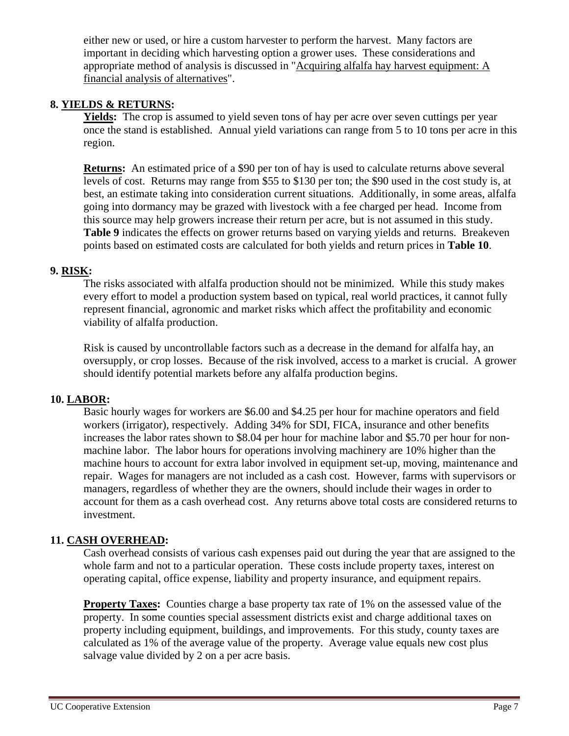either new or used, or hire a custom harvester to perform the harvest. Many factors are important in deciding which harvesting option a grower uses. These considerations and appropriate method of analysis is discussed in "Acquiring alfalfa hay harvest equipment: A financial analysis of alternatives".

## **8. YIELDS & RETURNS:**

Yields: The crop is assumed to yield seven tons of hay per acre over seven cuttings per year once the stand is established. Annual yield variations can range from 5 to 10 tons per acre in this region.

**Returns:** An estimated price of a \$90 per ton of hay is used to calculate returns above several levels of cost. Returns may range from \$55 to \$130 per ton; the \$90 used in the cost study is, at best, an estimate taking into consideration current situations. Additionally, in some areas, alfalfa going into dormancy may be grazed with livestock with a fee charged per head. Income from this source may help growers increase their return per acre, but is not assumed in this study. **Table 9** indicates the effects on grower returns based on varying yields and returns. Breakeven points based on estimated costs are calculated for both yields and return prices in **Table 10**.

## **9. RISK:**

The risks associated with alfalfa production should not be minimized. While this study makes every effort to model a production system based on typical, real world practices, it cannot fully represent financial, agronomic and market risks which affect the profitability and economic viability of alfalfa production.

Risk is caused by uncontrollable factors such as a decrease in the demand for alfalfa hay, an oversupply, or crop losses. Because of the risk involved, access to a market is crucial. A grower should identify potential markets before any alfalfa production begins.

### **10. LABOR:**

Basic hourly wages for workers are \$6.00 and \$4.25 per hour for machine operators and field workers (irrigator), respectively. Adding 34% for SDI, FICA, insurance and other benefits increases the labor rates shown to \$8.04 per hour for machine labor and \$5.70 per hour for nonmachine labor. The labor hours for operations involving machinery are 10% higher than the machine hours to account for extra labor involved in equipment set-up, moving, maintenance and repair. Wages for managers are not included as a cash cost. However, farms with supervisors or managers, regardless of whether they are the owners, should include their wages in order to account for them as a cash overhead cost. Any returns above total costs are considered returns to investment.

## **11. CASH OVERHEAD:**

Cash overhead consists of various cash expenses paid out during the year that are assigned to the whole farm and not to a particular operation. These costs include property taxes, interest on operating capital, office expense, liability and property insurance, and equipment repairs.

**Property Taxes:** Counties charge a base property tax rate of 1% on the assessed value of the property. In some counties special assessment districts exist and charge additional taxes on property including equipment, buildings, and improvements. For this study, county taxes are calculated as 1% of the average value of the property. Average value equals new cost plus salvage value divided by 2 on a per acre basis.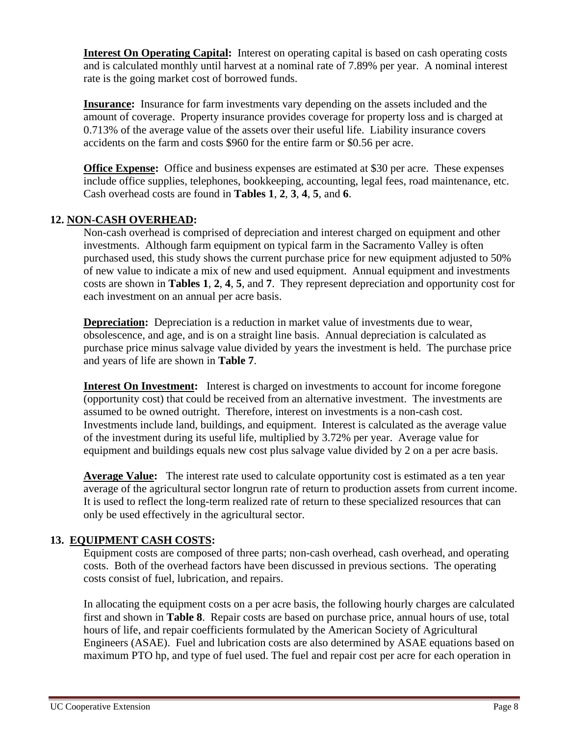**Interest On Operating Capital:** Interest on operating capital is based on cash operating costs and is calculated monthly until harvest at a nominal rate of 7.89% per year. A nominal interest rate is the going market cost of borrowed funds.

**Insurance:** Insurance for farm investments vary depending on the assets included and the amount of coverage. Property insurance provides coverage for property loss and is charged at 0.713% of the average value of the assets over their useful life. Liability insurance covers accidents on the farm and costs \$960 for the entire farm or \$0.56 per acre.

**Office Expense:** Office and business expenses are estimated at \$30 per acre. These expenses include office supplies, telephones, bookkeeping, accounting, legal fees, road maintenance, etc. Cash overhead costs are found in **Tables 1**, **2**, **3**, **4**, **5**, and **6**.

## **12. NON-CASH OVERHEAD:**

Non-cash overhead is comprised of depreciation and interest charged on equipment and other investments. Although farm equipment on typical farm in the Sacramento Valley is often purchased used, this study shows the current purchase price for new equipment adjusted to 50% of new value to indicate a mix of new and used equipment. Annual equipment and investments costs are shown in **Tables 1**, **2**, **4**, **5**, and **7**. They represent depreciation and opportunity cost for each investment on an annual per acre basis.

**Depreciation:** Depreciation is a reduction in market value of investments due to wear, obsolescence, and age, and is on a straight line basis. Annual depreciation is calculated as purchase price minus salvage value divided by years the investment is held. The purchase price and years of life are shown in **Table 7**.

**Interest On Investment:** Interest is charged on investments to account for income foregone (opportunity cost) that could be received from an alternative investment. The investments are assumed to be owned outright. Therefore, interest on investments is a non-cash cost. Investments include land, buildings, and equipment. Interest is calculated as the average value of the investment during its useful life, multiplied by 3.72% per year. Average value for equipment and buildings equals new cost plus salvage value divided by 2 on a per acre basis.

**Average Value:** The interest rate used to calculate opportunity cost is estimated as a ten year average of the agricultural sector longrun rate of return to production assets from current income. It is used to reflect the long-term realized rate of return to these specialized resources that can only be used effectively in the agricultural sector.

## **13. EQUIPMENT CASH COSTS:**

Equipment costs are composed of three parts; non-cash overhead, cash overhead, and operating costs. Both of the overhead factors have been discussed in previous sections. The operating costs consist of fuel, lubrication, and repairs.

In allocating the equipment costs on a per acre basis, the following hourly charges are calculated first and shown in **Table 8**. Repair costs are based on purchase price, annual hours of use, total hours of life, and repair coefficients formulated by the American Society of Agricultural Engineers (ASAE). Fuel and lubrication costs are also determined by ASAE equations based on maximum PTO hp, and type of fuel used. The fuel and repair cost per acre for each operation in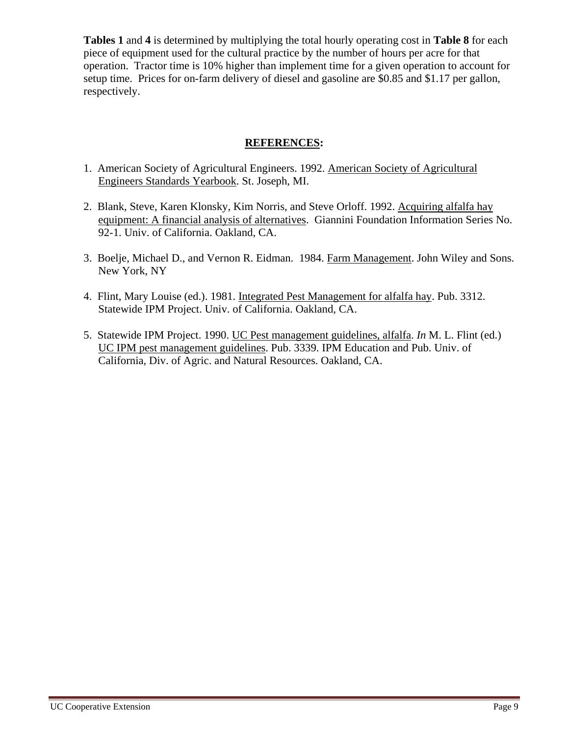**Tables 1** and **4** is determined by multiplying the total hourly operating cost in **Table 8** for each piece of equipment used for the cultural practice by the number of hours per acre for that operation. Tractor time is 10% higher than implement time for a given operation to account for setup time. Prices for on-farm delivery of diesel and gasoline are \$0.85 and \$1.17 per gallon, respectively.

## **REFERENCES:**

- 1. American Society of Agricultural Engineers. 1992. American Society of Agricultural Engineers Standards Yearbook. St. Joseph, MI.
- 2. Blank, Steve, Karen Klonsky, Kim Norris, and Steve Orloff. 1992. Acquiring alfalfa hay equipment: A financial analysis of alternatives. Giannini Foundation Information Series No. 92-1. Univ. of California. Oakland, CA.
- 3. Boelje, Michael D., and Vernon R. Eidman. 1984. Farm Management. John Wiley and Sons. New York, NY
- 4. Flint, Mary Louise (ed.). 1981. Integrated Pest Management for alfalfa hay. Pub. 3312. Statewide IPM Project. Univ. of California. Oakland, CA.
- 5. Statewide IPM Project. 1990. UC Pest management guidelines, alfalfa. *In* M. L. Flint (ed.) UC IPM pest management guidelines. Pub. 3339. IPM Education and Pub. Univ. of California, Div. of Agric. and Natural Resources. Oakland, CA.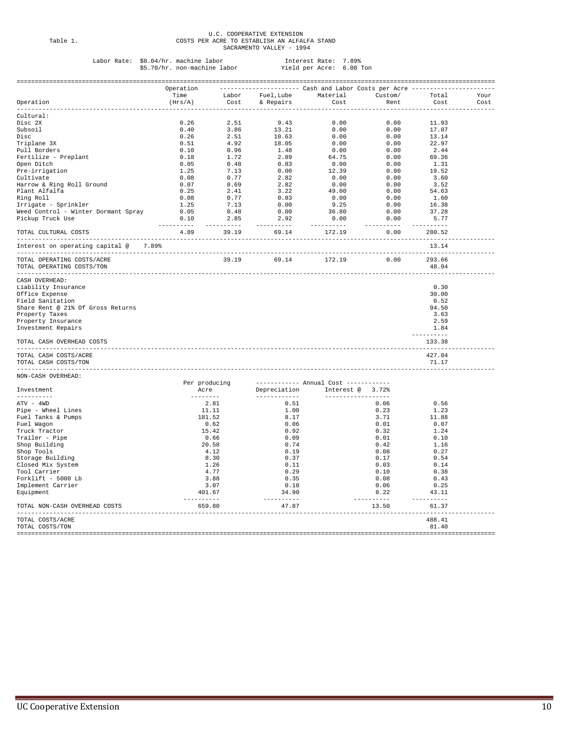## U.C. COOPERATIVE EXTENSION Table 1. COSTS PER ACRE TO ESTABLISH AN ALFALFA STAND SACRAMENTO VALLEY - 1994

## Labor Rate: \$8.04/hr. machine labor Interest Rate: 7.89% \$5.70/hr. non-machine labor Yield per Acre: 6.00 Ton

|                                                                     | Operation<br>Time                                                                                                                                                                                                                                                                                                                                                                                                                                                                      |                       |                                                                                                                                                                                                                                                                                                                                                                                                                                                                                                 | --------------------        Cash and Labor Costs per Acre ------------<br>Labor Fuel, Lube Material Custom/ |                                                                                        | Total               | Your |
|---------------------------------------------------------------------|----------------------------------------------------------------------------------------------------------------------------------------------------------------------------------------------------------------------------------------------------------------------------------------------------------------------------------------------------------------------------------------------------------------------------------------------------------------------------------------|-----------------------|-------------------------------------------------------------------------------------------------------------------------------------------------------------------------------------------------------------------------------------------------------------------------------------------------------------------------------------------------------------------------------------------------------------------------------------------------------------------------------------------------|-------------------------------------------------------------------------------------------------------------|----------------------------------------------------------------------------------------|---------------------|------|
| Operation                                                           | (Hrs/A)                                                                                                                                                                                                                                                                                                                                                                                                                                                                                |                       | Cost & Repairs                                                                                                                                                                                                                                                                                                                                                                                                                                                                                  | <b>Cost</b>                                                                                                 | Rent                                                                                   | Cost                | Cost |
| ----------<br>Cultural:                                             |                                                                                                                                                                                                                                                                                                                                                                                                                                                                                        |                       |                                                                                                                                                                                                                                                                                                                                                                                                                                                                                                 |                                                                                                             |                                                                                        |                     |      |
| Disc 2X                                                             | 0.26                                                                                                                                                                                                                                                                                                                                                                                                                                                                                   | 2.51                  | 9.43                                                                                                                                                                                                                                                                                                                                                                                                                                                                                            | 0.00                                                                                                        | 0.00                                                                                   | 11.93               |      |
| Subsoil                                                             | 0.40                                                                                                                                                                                                                                                                                                                                                                                                                                                                                   |                       |                                                                                                                                                                                                                                                                                                                                                                                                                                                                                                 |                                                                                                             | 0.00                                                                                   | 17.07               |      |
| Disc                                                                | 0.26                                                                                                                                                                                                                                                                                                                                                                                                                                                                                   |                       | $\begin{array}{ccc} 2.31 & 3.321 \ 3.86 & 13.21 \ 2.51 & 10.63 \ 4.92 & 18.05 \ 0.96 & 1.48 \end{array}$                                                                                                                                                                                                                                                                                                                                                                                        |                                                                                                             | $\begin{array}{ccc} 0.00 & 0.00 \ 0.00 & 0.00 \ 0.00 & 0.00 \ 0.00 & 0.00 \end{array}$ | 13.14               |      |
| Triplane 3X                                                         | 0.51                                                                                                                                                                                                                                                                                                                                                                                                                                                                                   |                       |                                                                                                                                                                                                                                                                                                                                                                                                                                                                                                 |                                                                                                             |                                                                                        | 22.97               |      |
| Pull Borders                                                        |                                                                                                                                                                                                                                                                                                                                                                                                                                                                                        |                       |                                                                                                                                                                                                                                                                                                                                                                                                                                                                                                 |                                                                                                             | 0.00                                                                                   | 2.44                |      |
| Fertilize - Preplant                                                |                                                                                                                                                                                                                                                                                                                                                                                                                                                                                        |                       |                                                                                                                                                                                                                                                                                                                                                                                                                                                                                                 | 64.75                                                                                                       | 0.00                                                                                   | 69.36               |      |
| Open Ditch                                                          |                                                                                                                                                                                                                                                                                                                                                                                                                                                                                        |                       |                                                                                                                                                                                                                                                                                                                                                                                                                                                                                                 | 0.00                                                                                                        | 0.00                                                                                   | 1.31                |      |
| Pre-irrigation                                                      |                                                                                                                                                                                                                                                                                                                                                                                                                                                                                        |                       |                                                                                                                                                                                                                                                                                                                                                                                                                                                                                                 |                                                                                                             |                                                                                        | 19.52               |      |
| Cultivate                                                           |                                                                                                                                                                                                                                                                                                                                                                                                                                                                                        |                       |                                                                                                                                                                                                                                                                                                                                                                                                                                                                                                 |                                                                                                             |                                                                                        | 3.60                |      |
| Harrow & Ring Roll Ground                                           |                                                                                                                                                                                                                                                                                                                                                                                                                                                                                        |                       |                                                                                                                                                                                                                                                                                                                                                                                                                                                                                                 |                                                                                                             |                                                                                        | 3.52                |      |
| Plant Alfalfa                                                       |                                                                                                                                                                                                                                                                                                                                                                                                                                                                                        |                       |                                                                                                                                                                                                                                                                                                                                                                                                                                                                                                 |                                                                                                             |                                                                                        | 54.63               |      |
| Ring Roll                                                           |                                                                                                                                                                                                                                                                                                                                                                                                                                                                                        |                       |                                                                                                                                                                                                                                                                                                                                                                                                                                                                                                 |                                                                                                             |                                                                                        | 1.60                |      |
| Irrigate - Sprinkler                                                |                                                                                                                                                                                                                                                                                                                                                                                                                                                                                        |                       |                                                                                                                                                                                                                                                                                                                                                                                                                                                                                                 |                                                                                                             |                                                                                        | 16.38               |      |
| Weed Control - Winter Dormant Spray                                 |                                                                                                                                                                                                                                                                                                                                                                                                                                                                                        |                       |                                                                                                                                                                                                                                                                                                                                                                                                                                                                                                 | 36.80                                                                                                       | 0.00                                                                                   | 37.28               |      |
| Pickup Truck Use                                                    |                                                                                                                                                                                                                                                                                                                                                                                                                                                                                        |                       | $\begin{array}{cccc} 0.51 & 0.96 & . & . & . & . & . & . & . & . \\ 0.18 & 1.72 & 2.89 & . & . & . & . & . & . \\ 0.05 & 0.48 & 0.83 & . & . & . & . & . \\ 1.25 & 7.13 & 0.00 & . & . & . & . & . \\ 0.07 & 0.69 & 2.82 & . & . & . & . & . \\ 0.25 & 2.41 & 3.22 & . & . & . & . & . \\ 0.08 & 0.77 & 0.83 & . & . & . & . & . \\ 1.25 & 7.13 & 0.$                                                                                                                                           | 0.00                                                                                                        | 0.00                                                                                   | 5.77                |      |
| TOTAL CULTURAL COSTS                                                | -----------<br>4.89                                                                                                                                                                                                                                                                                                                                                                                                                                                                    | 39.19                 | 69.14                                                                                                                                                                                                                                                                                                                                                                                                                                                                                           | 172.19                                                                                                      | ----------<br>0.00                                                                     | 280.52              |      |
| Interest on operating capital @ 7.89%                               |                                                                                                                                                                                                                                                                                                                                                                                                                                                                                        |                       |                                                                                                                                                                                                                                                                                                                                                                                                                                                                                                 |                                                                                                             |                                                                                        | 13.14               |      |
| TOTAL OPERATING COSTS/ACRE                                          |                                                                                                                                                                                                                                                                                                                                                                                                                                                                                        | 39.19                 | 69.14                                                                                                                                                                                                                                                                                                                                                                                                                                                                                           | 172.19                                                                                                      | 0.00                                                                                   | 293.66              |      |
| TOTAL OPERATING COSTS/TON                                           |                                                                                                                                                                                                                                                                                                                                                                                                                                                                                        |                       |                                                                                                                                                                                                                                                                                                                                                                                                                                                                                                 |                                                                                                             |                                                                                        | 48.94               |      |
| CASH OVERHEAD:                                                      |                                                                                                                                                                                                                                                                                                                                                                                                                                                                                        |                       |                                                                                                                                                                                                                                                                                                                                                                                                                                                                                                 |                                                                                                             |                                                                                        |                     |      |
| Liability Insurance                                                 |                                                                                                                                                                                                                                                                                                                                                                                                                                                                                        |                       |                                                                                                                                                                                                                                                                                                                                                                                                                                                                                                 |                                                                                                             |                                                                                        | 0.30                |      |
| Office Expense                                                      |                                                                                                                                                                                                                                                                                                                                                                                                                                                                                        |                       |                                                                                                                                                                                                                                                                                                                                                                                                                                                                                                 |                                                                                                             |                                                                                        | 30.00               |      |
| Field Sanitation                                                    |                                                                                                                                                                                                                                                                                                                                                                                                                                                                                        |                       |                                                                                                                                                                                                                                                                                                                                                                                                                                                                                                 |                                                                                                             |                                                                                        | 0.52                |      |
| Share Rent @ 21% Of Gross Returns                                   |                                                                                                                                                                                                                                                                                                                                                                                                                                                                                        |                       |                                                                                                                                                                                                                                                                                                                                                                                                                                                                                                 |                                                                                                             |                                                                                        | 94.50               |      |
| Property Taxes                                                      |                                                                                                                                                                                                                                                                                                                                                                                                                                                                                        |                       |                                                                                                                                                                                                                                                                                                                                                                                                                                                                                                 |                                                                                                             |                                                                                        | 3.63                |      |
| Property Insurance                                                  |                                                                                                                                                                                                                                                                                                                                                                                                                                                                                        |                       |                                                                                                                                                                                                                                                                                                                                                                                                                                                                                                 |                                                                                                             |                                                                                        | 2.59                |      |
| Investment Repairs                                                  |                                                                                                                                                                                                                                                                                                                                                                                                                                                                                        |                       |                                                                                                                                                                                                                                                                                                                                                                                                                                                                                                 |                                                                                                             |                                                                                        | 1.84                |      |
| TOTAL CASH OVERHEAD COSTS                                           |                                                                                                                                                                                                                                                                                                                                                                                                                                                                                        |                       |                                                                                                                                                                                                                                                                                                                                                                                                                                                                                                 |                                                                                                             |                                                                                        | 133.38              |      |
| ----------------------<br>TOTAL CASH COSTS/ACRE                     | ---------------------------                                                                                                                                                                                                                                                                                                                                                                                                                                                            |                       |                                                                                                                                                                                                                                                                                                                                                                                                                                                                                                 |                                                                                                             |                                                                                        | 427.04              |      |
| TOTAL CASH COSTS/TON                                                |                                                                                                                                                                                                                                                                                                                                                                                                                                                                                        |                       |                                                                                                                                                                                                                                                                                                                                                                                                                                                                                                 |                                                                                                             |                                                                                        | 71.17               |      |
| ---------------------<br>NON-CASH OVERHEAD:                         |                                                                                                                                                                                                                                                                                                                                                                                                                                                                                        |                       |                                                                                                                                                                                                                                                                                                                                                                                                                                                                                                 |                                                                                                             |                                                                                        |                     |      |
| Investment                                                          |                                                                                                                                                                                                                                                                                                                                                                                                                                                                                        | Per producing<br>Acre | Depreciation                                                                                                                                                                                                                                                                                                                                                                                                                                                                                    | ------------ Annual Cost ------------<br>Interest @ 3.72%                                                   |                                                                                        |                     |      |
| ----------                                                          |                                                                                                                                                                                                                                                                                                                                                                                                                                                                                        |                       | _____________                                                                                                                                                                                                                                                                                                                                                                                                                                                                                   | ------------------                                                                                          |                                                                                        |                     |      |
| ATV - 4WD                                                           |                                                                                                                                                                                                                                                                                                                                                                                                                                                                                        | 2.81                  | 0.51                                                                                                                                                                                                                                                                                                                                                                                                                                                                                            |                                                                                                             | 0.06                                                                                   | 0.56                |      |
| Pipe - Wheel Lines                                                  |                                                                                                                                                                                                                                                                                                                                                                                                                                                                                        | 11.11                 | 1.00                                                                                                                                                                                                                                                                                                                                                                                                                                                                                            |                                                                                                             | 0.23                                                                                   | 1.23                |      |
| Fuel Tanks & Pumps                                                  |                                                                                                                                                                                                                                                                                                                                                                                                                                                                                        | 181.52                | 8.17                                                                                                                                                                                                                                                                                                                                                                                                                                                                                            |                                                                                                             | 3.71                                                                                   | 11.88               |      |
| Fuel Wagon                                                          |                                                                                                                                                                                                                                                                                                                                                                                                                                                                                        | 0.62                  | 0.06                                                                                                                                                                                                                                                                                                                                                                                                                                                                                            |                                                                                                             | 0.01                                                                                   | 0.07                |      |
| Truck Tractor                                                       |                                                                                                                                                                                                                                                                                                                                                                                                                                                                                        | 15.42                 | 0.92                                                                                                                                                                                                                                                                                                                                                                                                                                                                                            |                                                                                                             | 0.32                                                                                   | 1.24                |      |
| Trailer - Pipe                                                      |                                                                                                                                                                                                                                                                                                                                                                                                                                                                                        | 0.66                  | 0.09                                                                                                                                                                                                                                                                                                                                                                                                                                                                                            |                                                                                                             | 0.01                                                                                   | 0.10                |      |
| Shop Building                                                       |                                                                                                                                                                                                                                                                                                                                                                                                                                                                                        | 20.58                 | 0.74                                                                                                                                                                                                                                                                                                                                                                                                                                                                                            |                                                                                                             | 0.42                                                                                   | 1.16                |      |
| Shop Tools                                                          |                                                                                                                                                                                                                                                                                                                                                                                                                                                                                        | 4.12                  | 0.19                                                                                                                                                                                                                                                                                                                                                                                                                                                                                            |                                                                                                             | 0.08                                                                                   | 0.27                |      |
| Storage Building                                                    |                                                                                                                                                                                                                                                                                                                                                                                                                                                                                        | 8.30                  | 0.37                                                                                                                                                                                                                                                                                                                                                                                                                                                                                            |                                                                                                             | 0.17                                                                                   | 0.54                |      |
| Closed Mix System                                                   |                                                                                                                                                                                                                                                                                                                                                                                                                                                                                        | 1.26                  | 0.11                                                                                                                                                                                                                                                                                                                                                                                                                                                                                            |                                                                                                             | 0.03                                                                                   | 0.14                |      |
| Tool Carrier                                                        |                                                                                                                                                                                                                                                                                                                                                                                                                                                                                        | 4.77                  | 0.29                                                                                                                                                                                                                                                                                                                                                                                                                                                                                            |                                                                                                             | 0.10                                                                                   | 0.38                |      |
| Forklift - 5000 Lb                                                  |                                                                                                                                                                                                                                                                                                                                                                                                                                                                                        | 3.88                  | 0.35                                                                                                                                                                                                                                                                                                                                                                                                                                                                                            |                                                                                                             | 0.08                                                                                   | 0.43                |      |
| Implement Carrier                                                   |                                                                                                                                                                                                                                                                                                                                                                                                                                                                                        | 3.07                  | 0.18                                                                                                                                                                                                                                                                                                                                                                                                                                                                                            |                                                                                                             | 0.06                                                                                   | 0.25                |      |
| Equipment                                                           | $\begin{array}{cccccccccc} \multicolumn{2}{c}{} & \multicolumn{2}{c}{} & \multicolumn{2}{c}{} & \multicolumn{2}{c}{} & \multicolumn{2}{c}{} & \multicolumn{2}{c}{} & \multicolumn{2}{c}{} & \multicolumn{2}{c}{} & \multicolumn{2}{c}{} & \multicolumn{2}{c}{} & \multicolumn{2}{c}{} & \multicolumn{2}{c}{} & \multicolumn{2}{c}{} & \multicolumn{2}{c}{} & \multicolumn{2}{c}{} & \multicolumn{2}{c}{} & \multicolumn{2}{c}{} & \multicolumn{2}{c}{} & \multicolumn{2}{c}{} & \mult$ | 401.67                | 34.90<br>$\begin{array}{cccccccccc} \multicolumn{2}{c}{} & \multicolumn{2}{c}{} & \multicolumn{2}{c}{} & \multicolumn{2}{c}{} & \multicolumn{2}{c}{} & \multicolumn{2}{c}{} & \multicolumn{2}{c}{} & \multicolumn{2}{c}{} & \multicolumn{2}{c}{} & \multicolumn{2}{c}{} & \multicolumn{2}{c}{} & \multicolumn{2}{c}{} & \multicolumn{2}{c}{} & \multicolumn{2}{c}{} & \multicolumn{2}{c}{} & \multicolumn{2}{c}{} & \multicolumn{2}{c}{} & \multicolumn{2}{c}{} & \multicolumn{2}{c}{} & \mult$ |                                                                                                             | 8.22<br>----------                                                                     | 43.11<br>---------- |      |
| TOTAL NON-CASH OVERHEAD COSTS<br>__________________________________ |                                                                                                                                                                                                                                                                                                                                                                                                                                                                                        | 659.80                | 47.87                                                                                                                                                                                                                                                                                                                                                                                                                                                                                           |                                                                                                             | 13.50                                                                                  | 61.37<br>-------    |      |
| TOTAL COSTS/ACRE                                                    |                                                                                                                                                                                                                                                                                                                                                                                                                                                                                        |                       |                                                                                                                                                                                                                                                                                                                                                                                                                                                                                                 |                                                                                                             |                                                                                        | 488.41              |      |
| TOTAL COSTS/TON                                                     |                                                                                                                                                                                                                                                                                                                                                                                                                                                                                        |                       |                                                                                                                                                                                                                                                                                                                                                                                                                                                                                                 |                                                                                                             |                                                                                        | 81.40               |      |
|                                                                     |                                                                                                                                                                                                                                                                                                                                                                                                                                                                                        |                       |                                                                                                                                                                                                                                                                                                                                                                                                                                                                                                 |                                                                                                             |                                                                                        |                     |      |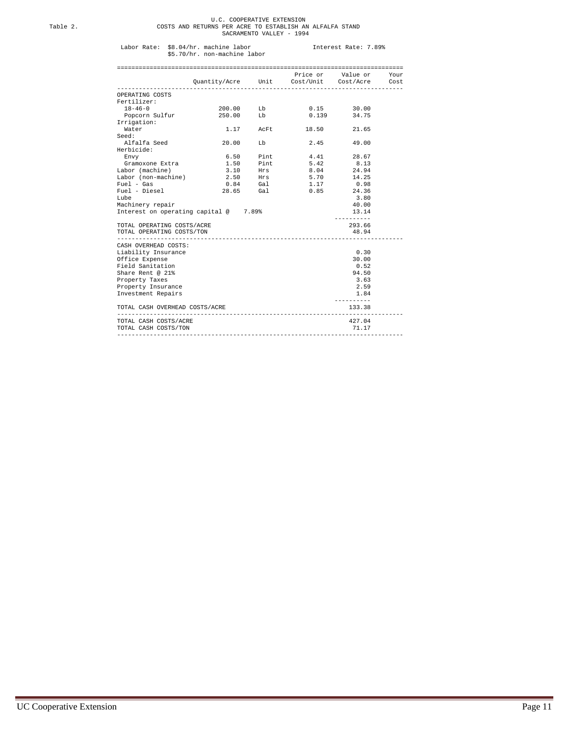## U.C. COOPERATIVE EXTENSION Table 2. COSTS AND RETURNS PER ACRE TO ESTABLISH AN ALFALFA STAND SACRAMENTO VALLEY - 1994

## Labor Rate: \$8.04/hr. machine labor Interest Rate: 7.89% \$5.70/hr. non-machine labor

|                                                            |                                             |                                  |           | Price or Value or Your |  |
|------------------------------------------------------------|---------------------------------------------|----------------------------------|-----------|------------------------|--|
|                                                            | Quantity/Acre Unit Cost/Unit Cost/Acre Cost |                                  |           |                        |  |
| OPERATING COSTS                                            |                                             |                                  |           |                        |  |
| Fertilizer:                                                |                                             |                                  |           |                        |  |
| $18 - 46 - 0$                                              | 200.00 Lb                                   |                                  |           | $0.15$ 30.00           |  |
| Popcorn Sulfur                                             | 250.00 Lb                                   |                                  |           | 0.139 34.75            |  |
| Irrigation:                                                |                                             |                                  |           |                        |  |
| Water                                                      |                                             | 1.17 AcFt                        | 18.50     | 21.65                  |  |
| Seed:                                                      |                                             |                                  |           |                        |  |
| Alfalfa Seed                                               | 20.00                                       | Lb                               |           | 2.45 49.00             |  |
| Herbicide:                                                 |                                             |                                  |           |                        |  |
| Envy                                                       |                                             | 6.50 Pint                        |           | 4.41 28.67             |  |
| Gramoxone Extra                                            |                                             | 1.50 Pint                        | 5.42 8.13 |                        |  |
| Labor (machine)                                            |                                             | 3.10 Hrs<br>2.50 Hrs<br>0.84 Gal | 8.04      | 24.94                  |  |
| Labor (non-machine)                                        |                                             |                                  | 5.70      | 14.25                  |  |
| $Fuel - Gas$                                               |                                             |                                  | 1.17      | 0.98                   |  |
| Fuel - Diesel                                              | 28.65 Gal                                   |                                  |           | 0.85 24.36             |  |
| Lube                                                       |                                             |                                  |           | 3.80                   |  |
| Machinery repair                                           |                                             |                                  |           | 40.00                  |  |
| Interest on operating capital @ 7.89%                      |                                             |                                  |           | 13.14<br>----------    |  |
| TOTAL OPERATING COSTS/ACRE                                 |                                             |                                  |           | 293.66                 |  |
| TOTAL OPERATING COSTS/TON                                  |                                             |                                  |           | 48.94                  |  |
| ---------------------------<br>CASH OVERHEAD COSTS:        |                                             |                                  |           |                        |  |
| Liability Insurance                                        |                                             |                                  |           | 0.30                   |  |
| Office Expense                                             |                                             |                                  |           | 30.00                  |  |
| Field Sanitation                                           |                                             |                                  |           | 0.52                   |  |
| Share Rent @ 21%                                           |                                             |                                  |           | 94.50                  |  |
| Property Taxes                                             |                                             |                                  |           | 3.63                   |  |
| Property Insurance                                         |                                             |                                  |           | 2.59                   |  |
| Investment Repairs                                         |                                             |                                  |           | 1.84                   |  |
| TOTAL CASH OVERHEAD COSTS/ACRE<br>________________________ |                                             | ------------------               |           | .<br>133.38            |  |
| TOTAL CASH COSTS/ACRE                                      |                                             |                                  |           | 427.04                 |  |
| TOTAL CASH COSTS/TON                                       |                                             |                                  |           | 71.17                  |  |
|                                                            |                                             |                                  |           |                        |  |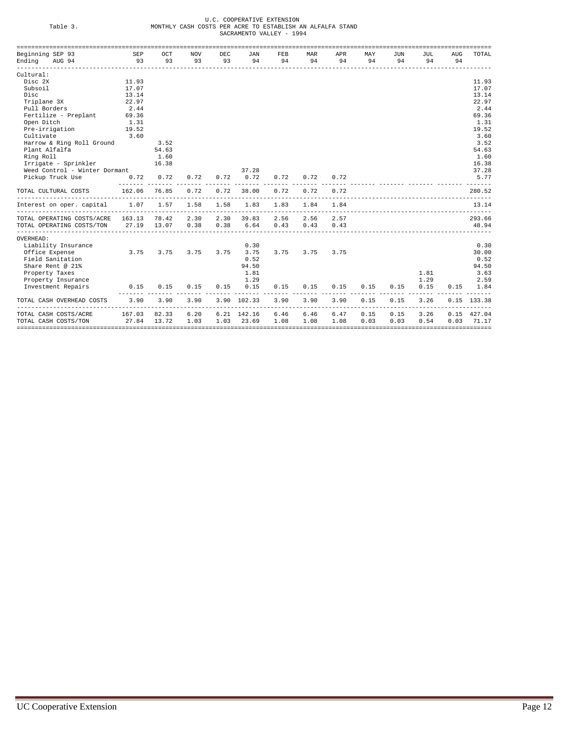| n              |              |
|----------------|--------------|
| ۰.<br>۰.<br>., | -<br>۰.<br>× |

## U.C. COOPERATIVE EXTENSION<br>Table 3. MONTHLY CASH COSTS PER ACRE TO ESTABLISH AN ALFALFA STAND<br>SACRAMENTO VALLEY - 1994

| Beginning SEP 93                  | SEP    | OCT   | <b>NOV</b> | DEC  | JAN         | FEB  | MAR                             | APR  | MAY           | JUN  | JUL  | AUG  | TOTAL       |
|-----------------------------------|--------|-------|------------|------|-------------|------|---------------------------------|------|---------------|------|------|------|-------------|
| Ending AUG 94                     | 93     | 93    | 93         | 93   | 94          | 94   | 94                              | 94   | 94            | 94   | 94   | 94   |             |
| Cultural:                         |        |       |            |      |             |      |                                 |      |               |      |      |      |             |
| Disc 2X                           | 11.93  |       |            |      |             |      |                                 |      |               |      |      |      | 11.93       |
| Subsoil                           | 17.07  |       |            |      |             |      |                                 |      |               |      |      |      | 17.07       |
| Disc                              | 13.14  |       |            |      |             |      |                                 |      |               |      |      |      | 13.14       |
| Triplane 3X                       | 22.97  |       |            |      |             |      |                                 |      |               |      |      |      | 22.97       |
| Pull Borders                      | 2.44   |       |            |      |             |      |                                 |      |               |      |      |      | 2.44        |
| Fertilize - Preplant              | 69.36  |       |            |      |             |      |                                 |      |               |      |      |      | 69.36       |
| Open Ditch                        | 1.31   |       |            |      |             |      |                                 |      |               |      |      |      | 1.31        |
| 19.52<br>Pre-irrigation           |        |       |            |      |             |      |                                 |      |               |      |      |      | 19.52       |
| Cultivate                         | 3.60   |       |            |      |             |      |                                 |      |               |      |      |      | 3.60        |
| Harrow & Ring Roll Ground         |        | 3.52  |            |      |             |      |                                 |      |               |      |      |      | 3.52        |
| Plant Alfalfa                     |        | 54.63 |            |      |             |      |                                 |      |               |      |      |      | 54.63       |
| Ring Roll                         |        | 1.60  |            |      |             |      |                                 |      |               |      |      |      | 1.60        |
| Irrigate - Sprinkler              |        | 16.38 |            |      |             |      |                                 |      |               |      |      |      | 16.38       |
| Weed Control - Winter Dormant     |        |       |            |      | 37.28       |      |                                 |      |               |      |      |      | 37.28       |
| Pickup Truck Use                  | 0.72   | 0.72  | 0.72       | 0.72 | 0.72        | 0.72 | 0.72                            | 0.72 |               |      |      |      | 5.77        |
| TOTAL CULTURAL COSTS              | 162.06 | 76.85 | 0.72       | 0.72 | 38.00       | 0.72 | 0.72<br>----------------------  | 0.72 |               |      |      |      | 280.52      |
| Interest on oper. capital         | 1.07   | 1.57  | 1.58       | 1.58 | 1.83        | 1.83 | 1.84<br>_______________________ | 1.84 |               |      |      |      | 13.14       |
| TOTAL OPERATING COSTS/ACRE 163.13 |        | 78.42 | 2.30       | 2.30 | 39.83       | 2.56 | 2.56                            | 2.57 |               |      |      |      | 293.66      |
| TOTAL OPERATING COSTS/TON         | 27.19  | 13.07 | 0.38       | 0.38 | 6.64        | 0.43 | 0.43                            | 0.43 |               |      |      |      | 48.94       |
| OVERHEAD:                         |        |       |            |      |             |      |                                 |      |               |      |      |      |             |
| Liability Insurance               |        |       |            |      | 0.30        |      |                                 |      |               |      |      |      | 0.30        |
| Office Expense                    | 3.75   | 3.75  | 3.75       | 3.75 | 3.75        | 3.75 | 3.75                            | 3.75 |               |      |      |      | 30.00       |
| Field Sanitation                  |        |       |            |      | 0.52        |      |                                 |      |               |      |      |      | 0.52        |
| Share Rent @ 21%                  |        |       |            |      | 94.50       |      |                                 |      |               |      |      |      | 94.50       |
| Property Taxes                    |        |       |            |      | 1.81        |      |                                 |      |               |      | 1.81 |      | 3.63        |
| Property Insurance                |        |       |            |      | 1.29        |      |                                 |      |               |      | 1.29 |      | 2.59        |
| Investment Repairs                | 0.15   | 0.15  | 0.15       | 0.15 | 0.15        | 0.15 | 0.15                            | 0.15 | 0.15          | 0.15 | 0.15 | 0.15 | 1.84        |
| TOTAL CASH OVERHEAD COSTS         | 3.90   | 3.90  | 3.90       |      | 3.90 102.33 | 3.90 | 3.90                            | 3.90 | 0.15<br>----- | 0.15 | 3.26 |      | 0.15 133.38 |
| TOTAL CASH COSTS/ACRE             | 167.03 | 82.33 | 6.20       |      | 6.21 142.16 | 6.46 | 6.46                            | 6.47 | 0.15          | 0.15 | 3.26 | 0.15 | 427.04      |
| TOTAL CASH COSTS/TON              | 27.84  | 13.72 | 1.03       | 1.03 | 23.69       | 1.08 | 1.08                            | 1.08 | 0.03          | 0.03 | 0.54 | 0.03 | 71.17       |
|                                   |        |       |            |      |             |      |                                 |      |               |      |      |      |             |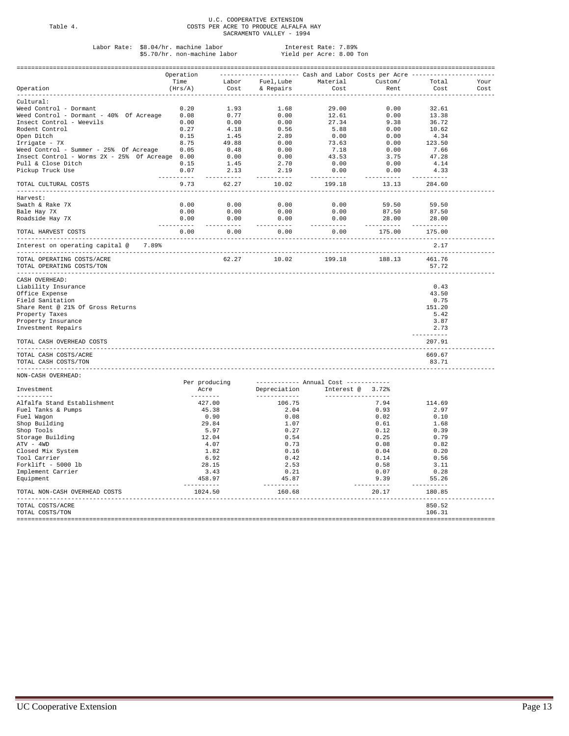## U.C. COOPERATIVE EXTENSION Table 4. COSTS PER ACRE TO PRODUCE ALFALFA HAY SACRAMENTO VALLEY - 1994

## Labor Rate: \$8.04/hr. machine labor Interest Rate: 7.89% \$5.70/hr. non-machine labor Yield per Acre: 8.00 Ton

|                                                                                                                                                                                                                                       | Operation                      |                      | -------------------- Cash and Labor Costs per Acre ------------- |             |                                             |                         |                       |      |
|---------------------------------------------------------------------------------------------------------------------------------------------------------------------------------------------------------------------------------------|--------------------------------|----------------------|------------------------------------------------------------------|-------------|---------------------------------------------|-------------------------|-----------------------|------|
|                                                                                                                                                                                                                                       | Time                           |                      | Labor Fuel, Lube Material Custom/                                |             |                                             |                         | Total                 | Your |
| Operation<br>----------                                                                                                                                                                                                               | (Hrs/A)<br>------------------- |                      | Cost & Repairs<br>----------------------------                   |             | Cost<br>--------                            | Rent<br>- - - - - - - - | Cost.<br>--------     | Cost |
| Cultural:                                                                                                                                                                                                                             |                                |                      |                                                                  |             |                                             |                         |                       |      |
|                                                                                                                                                                                                                                       |                                |                      |                                                                  |             |                                             |                         | 32.61                 |      |
|                                                                                                                                                                                                                                       |                                |                      |                                                                  |             |                                             |                         | 13.38                 |      |
|                                                                                                                                                                                                                                       |                                |                      |                                                                  |             |                                             |                         | 36.72                 |      |
|                                                                                                                                                                                                                                       |                                |                      |                                                                  |             |                                             |                         |                       |      |
|                                                                                                                                                                                                                                       |                                |                      |                                                                  |             |                                             |                         | 10.62                 |      |
|                                                                                                                                                                                                                                       |                                |                      |                                                                  |             |                                             |                         | 4.34                  |      |
|                                                                                                                                                                                                                                       |                                |                      |                                                                  |             |                                             |                         | 123.50                |      |
|                                                                                                                                                                                                                                       |                                |                      |                                                                  |             |                                             |                         | 7.66                  |      |
|                                                                                                                                                                                                                                       |                                |                      |                                                                  |             |                                             |                         | 47.28                 |      |
|                                                                                                                                                                                                                                       |                                |                      |                                                                  |             |                                             |                         | 4.14                  |      |
| Cultural:<br>Weed Control - Dormant - 40% Of Acreage 0.08 0.77 0.00 12.61 0.00<br>Insect Control - Weevils 0.00 0.00 0.00 12.61 0.00<br>Insect Control - Weevils 0.00 0.00 0.00 27.34 9.38<br>Rodent Control - Weevils 0.27 4.18 0.56 |                                |                      |                                                                  |             |                                             | 0.00                    | 4.33                  |      |
| TOTAL CULTURAL COSTS                                                                                                                                                                                                                  | -----------<br>9.73            | -----------<br>62.27 | -----------<br>10.02                                             | ----------- | 199.18                                      | -----------<br>13.13    | ----------<br>284.60  |      |
| ______________________________________<br>Harvest:                                                                                                                                                                                    |                                |                      |                                                                  |             |                                             |                         |                       |      |
|                                                                                                                                                                                                                                       | 0.00                           | 0.00                 | 0.00                                                             |             | 0.00                                        | 59.50                   | 59.50                 |      |
| Swath & Rake 7X                                                                                                                                                                                                                       |                                |                      |                                                                  |             |                                             |                         |                       |      |
| Bale Hay 7X                                                                                                                                                                                                                           |                                |                      | $0.00$ $0.00$ $0.00$ $0.00$ $0.00$                               |             | $\begin{array}{c} 0.00 \\ 0.00 \end{array}$ | 87.50                   | 87.50                 |      |
| Roadside Hay 7X                                                                                                                                                                                                                       |                                | ----------           | ----------                                                       | ----------- |                                             | 28.00                   | 28.00<br>----------   |      |
| TOTAL HARVEST COSTS<br>-----------------------------------                                                                                                                                                                            |                                |                      | $0.00$ $0.00$ $0.00$                                             | 0.00        |                                             | 175.00                  | 175.00<br>----------  |      |
| Interest on operating capital @ 7.89%                                                                                                                                                                                                 |                                |                      | ------------------------                                         |             |                                             |                         | 2.17                  |      |
| TOTAL OPERATING COSTS/ACRE                                                                                                                                                                                                            |                                |                      | 62.27 10.02                                                      |             | 199.18                                      | 188.13                  | 461.76                |      |
| TOTAL OPERATING COSTS/TON                                                                                                                                                                                                             |                                |                      |                                                                  |             |                                             |                         | 57.72                 |      |
| CASH OVERHEAD:                                                                                                                                                                                                                        |                                |                      |                                                                  |             |                                             |                         |                       |      |
| Liability Insurance                                                                                                                                                                                                                   |                                |                      |                                                                  |             |                                             |                         | 0.43                  |      |
| Office Expense                                                                                                                                                                                                                        |                                |                      |                                                                  |             |                                             |                         | 43.50                 |      |
| Field Sanitation                                                                                                                                                                                                                      |                                |                      |                                                                  |             |                                             |                         | 0.75                  |      |
|                                                                                                                                                                                                                                       |                                |                      |                                                                  |             |                                             |                         | 151.20                |      |
| Share Rent @ 21% Of Gross Returns                                                                                                                                                                                                     |                                |                      |                                                                  |             |                                             |                         |                       |      |
| Property Taxes                                                                                                                                                                                                                        |                                |                      |                                                                  |             |                                             |                         | 5.42                  |      |
| Property Insurance                                                                                                                                                                                                                    |                                |                      |                                                                  |             |                                             |                         | 3.87                  |      |
| Investment Repairs                                                                                                                                                                                                                    |                                |                      |                                                                  |             |                                             |                         | 2.73                  |      |
| TOTAL CASH OVERHEAD COSTS                                                                                                                                                                                                             |                                |                      |                                                                  |             |                                             |                         | ----------<br>207.91  |      |
| TOTAL CASH COSTS/ACRE                                                                                                                                                                                                                 |                                |                      |                                                                  |             |                                             |                         | 669.67                |      |
| TOTAL CASH COSTS/TON                                                                                                                                                                                                                  |                                |                      |                                                                  |             |                                             |                         | 83.71                 |      |
|                                                                                                                                                                                                                                       |                                |                      |                                                                  |             |                                             |                         |                       |      |
| NON-CASH OVERHEAD:                                                                                                                                                                                                                    |                                | Per producing        | ----------- Annual Cost ------------                             |             |                                             |                         |                       |      |
| Investment                                                                                                                                                                                                                            |                                | Acre                 | Depreciation Interest @ 3.72%                                    |             |                                             |                         |                       |      |
|                                                                                                                                                                                                                                       | ---------                      |                      | ______________                                                   |             |                                             | -------------------     |                       |      |
| Alfalfa Stand Establishment                                                                                                                                                                                                           |                                | 427.00               | 106.75                                                           |             |                                             | 7.94                    | 114.69                |      |
| Fuel Tanks & Pumps                                                                                                                                                                                                                    |                                | 45.38                | 2.04                                                             |             |                                             | 0.93                    | 2.97                  |      |
| Fuel Wagon                                                                                                                                                                                                                            |                                | 0.90                 | 0.08                                                             |             |                                             | 0.02                    | 0.10                  |      |
| Shop Building                                                                                                                                                                                                                         |                                | 29.84                | 1.07                                                             |             |                                             | 0.61                    | 1.68                  |      |
| Shop Tools                                                                                                                                                                                                                            |                                | 5.97                 | 0.27                                                             |             |                                             | 0.12                    | 0.39                  |      |
|                                                                                                                                                                                                                                       |                                |                      |                                                                  |             |                                             |                         |                       |      |
| Storage Building                                                                                                                                                                                                                      |                                | 12.04                | 0.54                                                             |             |                                             | 0.25                    | 0.79                  |      |
| ATV - 4WD                                                                                                                                                                                                                             |                                | 4.07                 | 0.73                                                             |             |                                             | 0.08                    | 0.82                  |      |
| Closed Mix System                                                                                                                                                                                                                     |                                | 1.82                 | 0.16                                                             |             |                                             | 0.04                    | 0.20                  |      |
| Tool Carrier                                                                                                                                                                                                                          |                                | 6.92                 | 0.42                                                             |             |                                             | 0.14                    | 0.56                  |      |
| Forklift - 5000 lb                                                                                                                                                                                                                    |                                | 28.15                | 2.53                                                             |             |                                             | 0.58                    | 3.11                  |      |
| Implement Carrier                                                                                                                                                                                                                     |                                | 3.43                 | 0.21                                                             |             |                                             | 0.07                    | 0.28                  |      |
| Equipment                                                                                                                                                                                                                             |                                | 458.97               | 45.87                                                            |             |                                             | 9.39                    | 55.26                 |      |
| TOTAL NON-CASH OVERHEAD COSTS                                                                                                                                                                                                         | -----------<br>1024.50         |                      | -----------<br>160.68<br>-------------------                     |             |                                             | __________<br>20.17     | -----------<br>180.85 |      |
| TOTAL COSTS/ACRE                                                                                                                                                                                                                      |                                |                      |                                                                  |             |                                             |                         | 850.52                |      |
| TOTAL COSTS/TON                                                                                                                                                                                                                       |                                |                      |                                                                  |             |                                             |                         | 106.31                |      |
|                                                                                                                                                                                                                                       |                                |                      |                                                                  |             |                                             |                         |                       |      |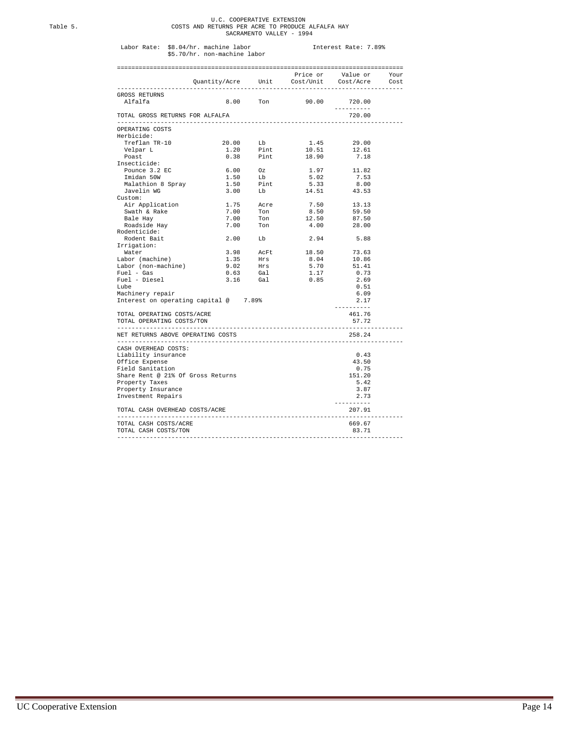## U.C. COOPERATIVE EXTENSION Table 5. COSTS AND RETURNS PER ACRE TO PRODUCE ALFALFA HAY SACRAMENTO VALLEY - 1994

## Labor Rate: \$8.04/hr. machine labor Interest Rate: 7.89% \$5.70/hr. non-machine labor

|                                       | Price or Walue or Your<br>Quantity/Acre Unit Cost/Unit Cost/Acre Cost |                                                                |                                                                                                  |                                                     |  |
|---------------------------------------|-----------------------------------------------------------------------|----------------------------------------------------------------|--------------------------------------------------------------------------------------------------|-----------------------------------------------------|--|
|                                       |                                                                       |                                                                |                                                                                                  |                                                     |  |
|                                       |                                                                       |                                                                |                                                                                                  |                                                     |  |
| GROSS RETURNS                         |                                                                       |                                                                |                                                                                                  |                                                     |  |
| Alfalfa                               |                                                                       |                                                                | 8.00 Ton 90.00 720.00                                                                            |                                                     |  |
|                                       |                                                                       |                                                                |                                                                                                  | ----------                                          |  |
| TOTAL GROSS RETURNS FOR ALFALFA       |                                                                       |                                                                |                                                                                                  | 720.00                                              |  |
|                                       |                                                                       |                                                                |                                                                                                  |                                                     |  |
| OPERATING COSTS                       |                                                                       |                                                                |                                                                                                  |                                                     |  |
| Herbicide:<br>Treflan TR-10           | 20.00                                                                 | Lb                                                             |                                                                                                  |                                                     |  |
|                                       |                                                                       |                                                                | 1.45                                                                                             | 29.00                                               |  |
| Velpar L<br>Poast                     | 1.20                                                                  | 1.20 Pint<br>0.38 Pint                                         | $10.51$<br>$18.90$                                                                               | 12.61                                               |  |
|                                       |                                                                       |                                                                |                                                                                                  | 7.18                                                |  |
| Insecticide:                          |                                                                       |                                                                |                                                                                                  |                                                     |  |
| Pounce 3.2 EC                         |                                                                       | $\begin{array}{ccc} 6.00 & 0z \\ 1.50 & \text{Lb} \end{array}$ | 1.97                                                                                             | 11.82                                               |  |
| Imidan 50W                            |                                                                       |                                                                | 5.02                                                                                             | 7.53                                                |  |
| Malathion 8 Spray                     |                                                                       |                                                                | $\begin{tabular}{lcccc} 1.50 & Pint & 5.33 & 8.00 \\ 3.00 & Lb & 14.51 & 43.53 \\ \end{tabular}$ |                                                     |  |
| Javelin WG                            |                                                                       |                                                                |                                                                                                  |                                                     |  |
| Custom:                               |                                                                       |                                                                |                                                                                                  |                                                     |  |
| Air Application                       |                                                                       |                                                                | 7.50                                                                                             | 13.13                                               |  |
| Swath & Rake                          |                                                                       |                                                                | 8.50                                                                                             | 59.50                                               |  |
| Bale Hay                              |                                                                       | 1.75 Acre<br>7.00 Ton<br>7.00 Ton                              | 12.50                                                                                            | 87.50                                               |  |
| Roadside Hay                          |                                                                       | 7.00 Ton                                                       | 4.00                                                                                             | 28.00                                               |  |
| Rodenticide:                          |                                                                       |                                                                |                                                                                                  |                                                     |  |
| Rodent Bait                           |                                                                       | $2.00$ Lb                                                      | 2.94                                                                                             | 5.88                                                |  |
| Irrigation:                           |                                                                       |                                                                |                                                                                                  |                                                     |  |
| Water                                 |                                                                       |                                                                |                                                                                                  |                                                     |  |
| Labor (machine)                       |                                                                       |                                                                |                                                                                                  |                                                     |  |
| Labor (non-machine)                   |                                                                       |                                                                |                                                                                                  |                                                     |  |
| Fuel - Gas                            |                                                                       |                                                                |                                                                                                  |                                                     |  |
| Fuel - Diesel                         |                                                                       | 3.16 Gal                                                       | 0.85                                                                                             | 2.69                                                |  |
| Lube                                  |                                                                       |                                                                |                                                                                                  | 0.51                                                |  |
| Machinery repair                      |                                                                       |                                                                |                                                                                                  | 6.09                                                |  |
| Interest on operating capital @ 7.89% |                                                                       |                                                                |                                                                                                  | 2.17                                                |  |
|                                       |                                                                       |                                                                |                                                                                                  | ----------                                          |  |
| TOTAL OPERATING COSTS/ACRE            |                                                                       |                                                                |                                                                                                  | 461.76                                              |  |
| TOTAL OPERATING COSTS/TON             |                                                                       |                                                                |                                                                                                  | 57.72                                               |  |
|                                       |                                                                       |                                                                |                                                                                                  | --------------                                      |  |
| NET RETURNS ABOVE OPERATING COSTS     |                                                                       |                                                                |                                                                                                  | 258.24                                              |  |
|                                       |                                                                       |                                                                |                                                                                                  |                                                     |  |
| CASH OVERHEAD COSTS:                  |                                                                       |                                                                |                                                                                                  |                                                     |  |
| Liability insurance                   |                                                                       |                                                                |                                                                                                  | 0.43                                                |  |
| Office Expense                        |                                                                       |                                                                |                                                                                                  | 43.50                                               |  |
| Field Sanitation                      |                                                                       |                                                                |                                                                                                  | 0.75                                                |  |
| Share Rent @ 21% Of Gross Returns     |                                                                       |                                                                |                                                                                                  | 151.20                                              |  |
| Property Taxes                        |                                                                       |                                                                |                                                                                                  | 5.42                                                |  |
| Property Insurance                    |                                                                       |                                                                |                                                                                                  | 3.87                                                |  |
| Investment Repairs                    |                                                                       |                                                                |                                                                                                  | 2.73                                                |  |
| TOTAL CASH OVERHEAD COSTS/ACRE        |                                                                       |                                                                |                                                                                                  | ----------<br>207.91<br>. _ _ _ _ _ _ _ _ _ _ _ _ _ |  |
| TOTAL CASH COSTS/ACRE                 |                                                                       |                                                                |                                                                                                  | 669.67                                              |  |
| TOTAL CASH COSTS/TON                  |                                                                       |                                                                |                                                                                                  | 83.71                                               |  |
|                                       |                                                                       |                                                                |                                                                                                  |                                                     |  |
|                                       |                                                                       |                                                                |                                                                                                  |                                                     |  |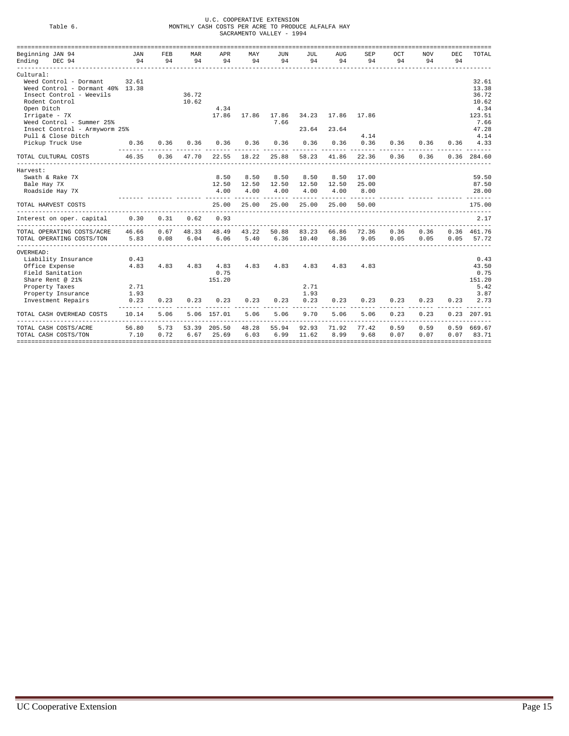## U.C. COOPERATIVE EXTENSION<br>Table 6. MONTHLY CASH COSTS PER ACRE TO PRODUCE ALFALFA HAY<br>SACRAMENTO VALLEY - 1994

| Beginning JAN 94                 | JAN                    | FEB  | MAR   | APR               | MAY   | JUN   | JUL   | AUG         | SEP   | OCT                                  | <b>NOV</b> | DEC  | TOTAL         |
|----------------------------------|------------------------|------|-------|-------------------|-------|-------|-------|-------------|-------|--------------------------------------|------------|------|---------------|
| DEC 94<br>Ending                 | 94                     | 94   | 94    | 94                | 94    | 94    | 94    | 94          | 94    | 94                                   | 94         | 94   |               |
| Cultural:                        |                        |      |       |                   |       |       |       |             |       |                                      |            |      |               |
| Weed Control - Dormant           | 32.61                  |      |       |                   |       |       |       |             |       |                                      |            |      | 32.61         |
| Weed Control - Dormant 40% 13.38 |                        |      |       |                   |       |       |       |             |       |                                      |            |      | 13.38         |
| Insect Control - Weevils         |                        |      | 36.72 |                   |       |       |       |             |       |                                      |            |      | 36.72         |
| Rodent Control                   |                        |      | 10.62 |                   |       |       |       |             |       |                                      |            |      | 10.62         |
| Open Ditch                       |                        |      |       | 4.34              |       |       |       |             |       |                                      |            |      | 4.34          |
| Irrigate - 7X                    |                        |      |       | 17.86             | 17.86 | 17.86 |       | 34.23 17.86 | 17.86 |                                      |            |      | 123.51        |
| Weed Control - Summer 25%        |                        |      |       |                   |       | 7.66  |       |             |       |                                      |            |      | 7.66          |
| Insect Control - Armyworm 25%    |                        |      |       |                   |       |       | 23.64 | 23.64       |       |                                      |            |      | 47.28         |
| Pull & Close Ditch               |                        |      |       |                   |       |       |       |             | 4.14  |                                      |            |      | 4.14          |
| Pickup Truck Use                 | 0.36                   | 0.36 | 0.36  | 0.36              | 0.36  | 0.36  | 0.36  | 0.36        | 0.36  | 0.36                                 | 0.36       | 0.36 | 4.33          |
| TOTAL CULTURAL COSTS             | 46.35                  | 0.36 | 47.70 | 22.55             | 18.22 | 25.88 | 58.23 | 41.86       | 22.36 | <br>0.36                             | 0.36       |      | 0.36 284.60   |
| Harvest:                         |                        |      |       |                   |       |       |       |             |       |                                      |            |      |               |
| Swath & Rake 7X                  |                        |      |       | 8.50              | 8.50  | 8.50  | 8.50  | 8.50        | 17.00 |                                      |            |      | 59.50         |
| Bale Hay 7X                      |                        |      |       | 12.50             | 12.50 | 12.50 |       | 12.50 12.50 | 25.00 |                                      |            |      | 87.50         |
| Roadside Hay 7X                  |                        |      |       | 4.00              | 4.00  | 4.00  | 4.00  | 4.00        | 8.00  |                                      |            |      | 28.00         |
| TOTAL HARVEST COSTS              |                        |      |       | 25.00             | 25.00 | 25.00 | 25.00 | 25.00       | 50.00 | _____ _______ _______ _______ ______ |            |      | 175.00        |
| Interest on oper. capital 0.30   |                        | 0.31 | 0.62  | 0.93              |       |       |       |             |       |                                      |            |      | 2.17          |
| TOTAL OPERATING COSTS/ACRE       | 46.66                  | 0.67 | 48.33 | 48.49             | 43.22 | 50.88 | 83.23 | 66.86       | 72.36 | 0.36                                 | 0.36       |      | 0.36 461.76   |
| TOTAL OPERATING COSTS/TON        | 5.83                   | 0.08 | 6.04  | 6.06              | 5.40  | 6.36  | 10.40 | 8.36        | 9.05  | 0.05                                 | 0.05       | 0.05 | 57.72         |
|                                  |                        |      |       |                   |       |       |       |             |       |                                      |            |      |               |
| OVERHEAD:                        |                        |      |       |                   |       |       |       |             |       |                                      |            |      |               |
| Liability Insurance              | 0.43                   |      |       |                   |       |       |       |             |       |                                      |            |      | 0.43          |
| Office Expense                   | 4.83                   | 4.83 |       | 4.83 4.83<br>0.75 | 4.83  | 4.83  | 4.83  | 4.83        | 4.83  |                                      |            |      | 43.50         |
| Field Sanitation                 |                        |      |       |                   |       |       |       |             |       |                                      |            |      | 0.75          |
| Share Rent @ 21%                 |                        |      |       | 151.20            |       |       |       |             |       |                                      |            |      | 151.20        |
| Property Taxes                   | 2.71                   |      |       |                   |       |       | 2.71  |             |       |                                      |            |      | 5.42          |
| Property Insurance               | 1.93                   |      |       |                   |       |       | 1.93  |             |       |                                      |            |      | 3.87          |
| Investment Repairs               | 0.23<br><b>LELLLLL</b> | 0.23 | 0.23  | 0.23              | 0.23  | 0.23  | 0.23  | 0.23        | 0.23  | 0.23                                 | 0.23       | 0.23 | 2.73          |
| TOTAL CASH OVERHEAD COSTS        | 10.14                  | 5.06 |       | 5.06 157.01       | 5.06  | 5.06  | 9.70  | 5.06        | 5.06  | 0.23                                 | 0.23       |      | $0.23$ 207.91 |
| TOTAL CASH COSTS/ACRE            | 56.80                  | 5.73 | 53.39 | 205.50            | 48.28 | 55.94 | 92.93 | 71.92       | 77.42 | 0.59                                 | 0.59       | 0.59 | 669.67        |
| TOTAL CASH COSTS/TON             | 7.10                   | 0.72 | 6.67  | 25.69             | 6.03  | 6.99  | 11.62 | 8.99        | 9.68  | 0.07                                 | 0.07       | 0.07 | 83.71         |
|                                  |                        |      |       |                   |       |       |       |             |       |                                      |            |      |               |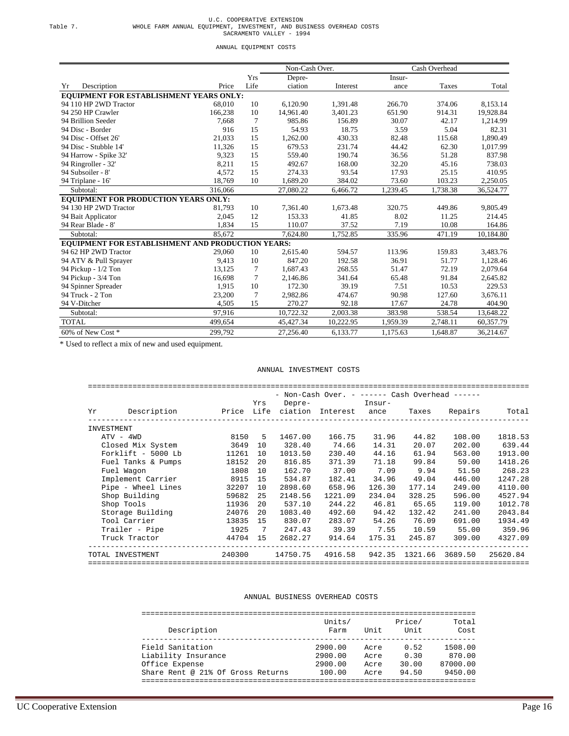|          | U.C. COOPERATIVE EXTENSION                                           |
|----------|----------------------------------------------------------------------|
| Table 7. | WHOLE FARM ANNUAL EQUIPMENT, INVESTMENT, AND BUSINESS OVERHEAD COSTS |
|          | SACRAMENTO VALLEY - 1994                                             |

ANNUAL EQUIPMENT COSTS

|                                                   |         |                | Non-Cash Over. |           |          | Cash Overhead |           |
|---------------------------------------------------|---------|----------------|----------------|-----------|----------|---------------|-----------|
|                                                   |         | Yrs            | Depre-         |           | Insur-   |               |           |
| Yr<br>Description                                 | Price   | Life           | ciation        | Interest  | ance     | Taxes         | Total     |
| EQUIPMENT FOR ESTABLISHMENT YEARS ONLY:           |         |                |                |           |          |               |           |
| 94 110 HP 2WD Tractor                             | 68,010  | 10             | 6,120.90       | 1,391.48  | 266.70   | 374.06        | 8,153.14  |
| 94 250 HP Crawler                                 | 166,238 | 10             | 14,961.40      | 3,401.23  | 651.90   | 914.31        | 19,928.84 |
| 94 Brillion Seeder                                | 7,668   | 7              | 985.86         | 156.89    | 30.07    | 42.17         | 1,214.99  |
| 94 Disc - Border                                  | 916     | 15             | 54.93          | 18.75     | 3.59     | 5.04          | 82.31     |
| 94 Disc - Offset 26'                              | 21,033  | 15             | 1,262.00       | 430.33    | 82.48    | 115.68        | 1,890.49  |
| 94 Disc - Stubble 14'                             | 11,326  | 15             | 679.53         | 231.74    | 44.42    | 62.30         | 1,017.99  |
| 94 Harrow - Spike 32'                             | 9,323   | 15             | 559.40         | 190.74    | 36.56    | 51.28         | 837.98    |
| 94 Ringroller - 32'                               | 8,211   | 15             | 492.67         | 168.00    | 32.20    | 45.16         | 738.03    |
| 94 Subsoiler - 8'                                 | 4,572   | 15             | 274.33         | 93.54     | 17.93    | 25.15         | 410.95    |
| 94 Triplane - 16'                                 | 18,769  | 10             | 1,689.20       | 384.02    | 73.60    | 103.23        | 2,250.05  |
| Subtotal:                                         | 316,066 |                | 27,080.22      | 6,466.72  | 1,239.45 | 1,738.38      | 36,524.77 |
| EQUIPMENT FOR PRODUCTION YEARS ONLY:              |         |                |                |           |          |               |           |
| 94 130 HP 2WD Tractor                             | 81,793  | 10             | 7,361.40       | 1,673.48  | 320.75   | 449.86        | 9,805.49  |
| 94 Bait Applicator                                | 2.045   | 12             | 153.33         | 41.85     | 8.02     | 11.25         | 214.45    |
| 94 Rear Blade - 8'                                | 1,834   | 15             | 110.07         | 37.52     | 7.19     | 10.08         | 164.86    |
| Subtotal:                                         | 85,672  |                | 7,624.80       | 1,752.85  | 335.96   | 471.19        | 10,184.80 |
| EQUIPMENT FOR ESTABLISHMENT AND PRODUCTION YEARS: |         |                |                |           |          |               |           |
| 94 62 HP 2WD Tractor                              | 29,060  | 10             | 2,615.40       | 594.57    | 113.96   | 159.83        | 3,483.76  |
| 94 ATV & Pull Sprayer                             | 9,413   | 10             | 847.20         | 192.58    | 36.91    | 51.77         | 1,128.46  |
| 94 Pickup - 1/2 Ton                               | 13,125  | 7              | 1,687.43       | 268.55    | 51.47    | 72.19         | 2,079.64  |
| 94 Pickup - 3/4 Ton                               | 16,698  | $\overline{7}$ | 2,146.86       | 341.64    | 65.48    | 91.84         | 2,645.82  |
| 94 Spinner Spreader                               | 1,915   | 10             | 172.30         | 39.19     | 7.51     | 10.53         | 229.53    |
| 94 Truck - 2 Ton                                  | 23,200  | 7              | 2,982.86       | 474.67    | 90.98    | 127.60        | 3,676.11  |
| 94 V-Ditcher                                      | 4.505   | 15             | 270.27         | 92.18     | 17.67    | 24.78         | 404.90    |
| Subtotal:                                         | 97,916  |                | 10,722.32      | 2,003.38  | 383.98   | 538.54        | 13,648.22 |
| <b>TOTAL</b>                                      | 499,654 |                | 45,427.34      | 10,222.95 | 1,959.39 | 2,748.11      | 60,357.79 |
| 60% of New Cost *                                 | 299,792 |                | 27,256.40      | 6,133.77  | 1,175.63 | 1,648.87      | 36,214.67 |

\* Used to reflect a mix of new and used equipment.

#### ANNUAL INVESTMENT COSTS

|                    |             |                                  |     |         | - Non-Cash Over. - ------ Cash Overhead ------ |        |        |               |          |
|--------------------|-------------|----------------------------------|-----|---------|------------------------------------------------|--------|--------|---------------|----------|
|                    |             |                                  | Yrs |         | Depre- Insur-                                  |        |        |               |          |
| Υr                 | Description | Price Life ciation Interest ance |     |         |                                                |        |        | Taxes Repairs | Total    |
| INVESTMENT         |             |                                  |     |         |                                                |        |        |               |          |
| $ATV - 4WD$        |             | 8150                             | .5  | 1467.00 | 166.75                                         | 31.96  | 44.82  | 108.00        | 1818.53  |
| Closed Mix System  |             | 3649                             | 10  | 328.40  | 74.66                                          | 14.31  | 20.07  | 202.00        | 639.44   |
| Forklift - 5000 Lb |             | 11261                            | 10  | 1013.50 | 230.40                                         | 44.16  | 61.94  | 563.00        | 1913.00  |
| Fuel Tanks & Pumps |             | 18152                            | 20  | 816.85  | 371.39                                         | 71.18  | 99.84  | 59.00         | 1418.26  |
| Fuel Wagon         |             | 1808                             | 10  | 162.70  | 37.00                                          | 7.09   | 9.94   | 51.50         | 268.23   |
| Implement Carrier  |             | 8915                             | 15  | 534.87  | 182.41                                         | 34.96  | 49.04  | 446.00        | 1247.28  |
| Pipe - Wheel Lines |             | 32207                            | 10  | 2898.60 | 658.96                                         | 126.30 | 177.14 | 249.00        | 4110.00  |
| Shop Building      |             | 59682                            | 25  | 2148.56 | 1221.09                                        | 234.04 | 328.25 | 596.00        | 4527.94  |
| Shop Tools         |             | 11936                            | 20  | 537.10  | 244.22                                         | 46.81  | 65.65  | 119.00        | 1012.78  |
| Storage Building   |             | 24076                            | 20  | 1083.40 | 492.60                                         | 94.42  | 132.42 | 241.00        | 2043.84  |
| Tool Carrier       |             | 13835                            | 15  | 830.07  | 283.07                                         | 54.26  | 76.09  | 691.00        | 1934.49  |
| Trailer - Pipe     |             | 1925                             | 7   | 247.43  | 39.39                                          | 7.55   | 10.59  | 55.00         | 359.96   |
| Truck Tractor      |             | 44704                            | 15  | 2682.27 | 914.64                                         | 175.31 | 245.87 | 309.00        | 4327.09  |
| TOTAL INVESTMENT   |             |                                  |     |         | 240300 14750.75 4916.58 942.35 1321.66 3689.50 |        |        |               | 25620.84 |

#### ANNUAL BUSINESS OVERHEAD COSTS

| Description                       | Units/<br>Farm | Unit | Price/<br>Unit | Total<br>Cost |
|-----------------------------------|----------------|------|----------------|---------------|
|                                   |                |      |                |               |
| Field Sanitation                  | 2900.00        | Acre | 0.52           | 1508.00       |
| Liability Insurance               | 2900.00        | Acre | 0.30           | 870.00        |
| Office Expense                    | 2900.00        | Acre | 30.00          | 87000.00      |
| Share Rent @ 21% Of Gross Returns | 100.00         | Acre | 94.50          | 9450.00       |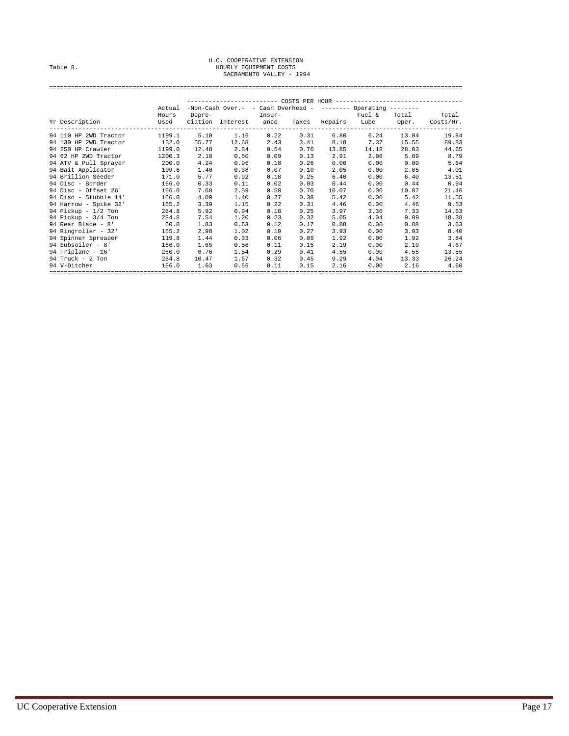## U.C. COOPERATIVE EXTENSION<br>Table 8. Hourly Equipment Costs<br>SACRAMENTO VALLEY - 1994

|                              | Actual |        | $-$ Non-Cash Over.- - Cash Overhead - -------- Operating --------                                             |      |      |               |                          |       |           |  |
|------------------------------|--------|--------|---------------------------------------------------------------------------------------------------------------|------|------|---------------|--------------------------|-------|-----------|--|
|                              | Hours  | Depre- | Express Theory of The Theory of The Theory of The Theory of The Theory of The Theory of The Theory of The The |      |      |               | Fuel &                   | Total | Total     |  |
| Yr Description               | Used   |        | ciation Interest ance                                                                                         |      |      |               | Taxes Repairs Lube Oper. |       | Costs/Hr. |  |
| 94 110 HP 2WD Tractor 1199.1 |        | 5.10   | 1.16                                                                                                          | 0.22 |      |               | $0.31$ 6.80 6.24         | 13.04 | 19.84     |  |
| 94 130 HP 2WD Tractor 132.0  |        | 55.77  | 12.68                                                                                                         | 2.43 |      | $3.41$ $8.18$ | 7.37                     | 15.55 | 89.83     |  |
| 94 250 HP Crawler 1199.0     |        | 12.48  | 2.84                                                                                                          | 0.54 | 0.76 | 13.85         | 14.18                    | 28.03 | 44.65     |  |
| 94 62 HP 2WD Tractor         | 1200.3 | 2.18   | 0.50                                                                                                          | 0.09 | 0.13 | 2.91          | 2.98                     | 5.89  | 8.79      |  |
| 94 ATV & Pull Sprayer 200.0  |        | 4.24   | 0.96                                                                                                          | 0.18 | 0.26 | 0.00          | 0.00                     | 0.00  | 5.64      |  |
| 94 Bait Applicator           | 109.6  | 1.40   | 0.38                                                                                                          | 0.07 | 0.10 | 2.05          | 0.00                     | 2.05  | 4.01      |  |
| 94 Brillion Seeder           | 171.0  | 5.77   | 0.92                                                                                                          | 0.18 | 0.25 | 6.40          | 0.00                     | 6.40  | 13.51     |  |
| 94 Disc - Border             | 166.0  | 0.33   | 0.11                                                                                                          | 0.02 | 0.03 | 0.44          | 0.00                     | 0.44  | 0.94      |  |
| 94 Disc - Offset 26'         | 166.0  | 7.60   | 2.59                                                                                                          | 0.50 | 0.70 | 10.07         | 0.00                     | 10.07 | 21.46     |  |
| 94 Disc - Stubble 14'        | 166.0  | 4.09   | 1.40                                                                                                          | 0.27 | 0.38 | 5.42          | 0.00                     | 5.42  | 11.55     |  |
| 94 Harrow - Spike 32'        | 165.2  | 3.39   | 1.15                                                                                                          | 0.22 | 0.31 | 4.46          | 0.00                     | 4.46  | 9.53      |  |
| 94 Pickup - 1/2 Ton          | 284.8  | 5.92   | 0.94                                                                                                          | 0.18 | 0.25 | 3.97          | 3.36                     | 7.33  | 14.63     |  |
| 94 Pickup - $3/4$ Ton        | 284.8  | 7.54   | 1.20                                                                                                          | 0.23 | 0.32 | 5.05          | 4.04                     | 9.09  | 18.38     |  |
| 94 Rear Blade - 8' 60.0      |        | 1.83   | 0.63                                                                                                          | 0.12 | 0.17 | 0.88          | 0.00                     | 0.88  | 3.63      |  |
| 94 Ringroller - 32'          | 165.2  | 2.98   | 1.02                                                                                                          | 0.19 | 0.27 | 3.93          | 0.00                     | 3.93  | 8.40      |  |
| 94 Spinner Spreader          | 119.8  | 1.44   | 0.33                                                                                                          | 0.06 | 0.09 | 1.92          | 0.00                     | 1.92  | 3.84      |  |
| 94 Subsoiler - 8'            | 166.0  | 1.65   | 0.56                                                                                                          | 0.11 | 0.15 | 2.19          | 0.00                     | 2.19  | 4.67      |  |
| $94$ Triplane - $16'$        | 250.0  | 6.76   | 1.54                                                                                                          | 0.29 | 0.41 | 4.55          | 0.00                     | 4.55  | 13.55     |  |
| 94 Truck - $2$ Ton           | 284.8  | 10.47  | 1.67                                                                                                          | 0.32 | 0.45 | 9.29          | 4.04                     | 13.33 | 26.24     |  |
| 94 V-Ditcher                 | 166.0  | 1.63   | 0.56                                                                                                          | 0.11 | 0.15 | 2.16          | 0.00                     | 2.16  | 4.60      |  |